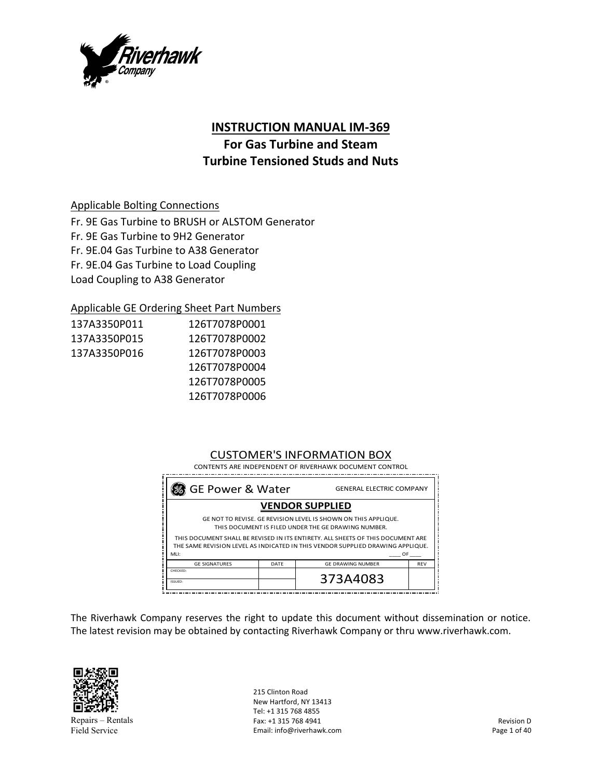

# **INSTRUCTION MANUAL IM‐369**

# **For Gas Turbine and Steam Turbine Tensioned Studs and Nuts**

# Applicable Bolting Connections

Fr. 9E Gas Turbine to BRUSH or ALSTOM Generator Fr. 9E Gas Turbine to 9H2 Generator Fr. 9E.04 Gas Turbine to A38 Generator Fr. 9E.04 Gas Turbine to Load Coupling Load Coupling to A38 Generator

# Applicable GE Ordering Sheet Part Numbers

| 137A3350P011 | 126T7078P0001 |
|--------------|---------------|
| 137A3350P015 | 126T7078P0002 |
| 137A3350P016 | 126T7078P0003 |
|              | 126T7078P0004 |
|              | 126T7078P0005 |
|              | 126T7078P0006 |

# CUSTOMER'S INFORMATION BOX

| % GE Power & Water<br><b>GENERAL ELECTRIC COMPANY</b>                                                                                                                           |      |                          |            |
|---------------------------------------------------------------------------------------------------------------------------------------------------------------------------------|------|--------------------------|------------|
| <b>VENDOR SUPPLIED</b>                                                                                                                                                          |      |                          |            |
| GE NOT TO REVISE. GE REVISION LEVEL IS SHOWN ON THIS APPLIQUE.<br>THIS DOCUMENT IS FILED UNDER THE GE DRAWING NUMBER.                                                           |      |                          |            |
| THIS DOCUMENT SHALL BE REVISED IN ITS ENTIRETY. ALL SHEETS OF THIS DOCUMENT ARE<br>THE SAME REVISION LEVEL AS INDICATED IN THIS VENDOR SUPPLIED DRAWING APPLIQUE.<br>MLI:<br>OF |      |                          |            |
| <b>GE SIGNATURES</b>                                                                                                                                                            | DATF | <b>GF DRAWING NUMBER</b> | <b>RFV</b> |
| CHECKED:<br>ISSUED:                                                                                                                                                             |      | 373A4083                 |            |

The Riverhawk Company reserves the right to update this document without dissemination or notice. The latest revision may be obtained by contacting Riverhawk Company or thru www.riverhawk.com.



Repairs – Rentals Field Service

215 Clinton Road New Hartford, NY 13413 Tel: +1 315 768 4855 Fax: +1 315 768 4941 Email: info@riverhawk.com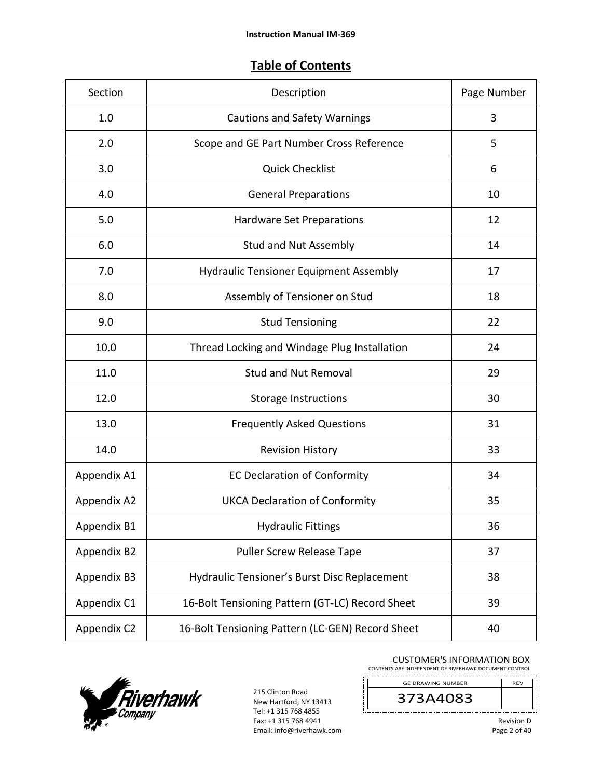# **Table of Contents**

| Section     | Description                                      | Page Number |
|-------------|--------------------------------------------------|-------------|
| 1.0         | <b>Cautions and Safety Warnings</b>              | 3           |
| 2.0         | Scope and GE Part Number Cross Reference         | 5           |
| 3.0         | <b>Quick Checklist</b>                           | 6           |
| 4.0         | <b>General Preparations</b>                      | 10          |
| 5.0         | <b>Hardware Set Preparations</b>                 | 12          |
| 6.0         | <b>Stud and Nut Assembly</b>                     | 14          |
| 7.0         | <b>Hydraulic Tensioner Equipment Assembly</b>    | 17          |
| 8.0         | Assembly of Tensioner on Stud                    | 18          |
| 9.0         | <b>Stud Tensioning</b>                           | 22          |
| 10.0        | Thread Locking and Windage Plug Installation     | 24          |
| 11.0        | <b>Stud and Nut Removal</b>                      | 29          |
| 12.0        | <b>Storage Instructions</b>                      | 30          |
| 13.0        | <b>Frequently Asked Questions</b>                | 31          |
| 14.0        | <b>Revision History</b>                          | 33          |
| Appendix A1 | <b>EC Declaration of Conformity</b>              | 34          |
| Appendix A2 | <b>UKCA Declaration of Conformity</b>            | 35          |
| Appendix B1 | <b>Hydraulic Fittings</b>                        | 36          |
| Appendix B2 | Puller Screw Release Tape                        | 37          |
| Appendix B3 | Hydraulic Tensioner's Burst Disc Replacement     | 38          |
| Appendix C1 | 16-Bolt Tensioning Pattern (GT-LC) Record Sheet  | 39          |
| Appendix C2 | 16-Bolt Tensioning Pattern (LC-GEN) Record Sheet | 40          |



215 Clinton Road New Hartford, NY 13413 Tel: +1 315 768 4855 Fax: +1 315 768 4941 Email: info@riverhawk.com

J.

#### CUSTOMER'S INFORMATION BOX

CONTENTS ARE INDEPENDENT OF RIVERHAWK DOCUMENT CONTROL

REV 373A4083 GE DRAWING NUMBER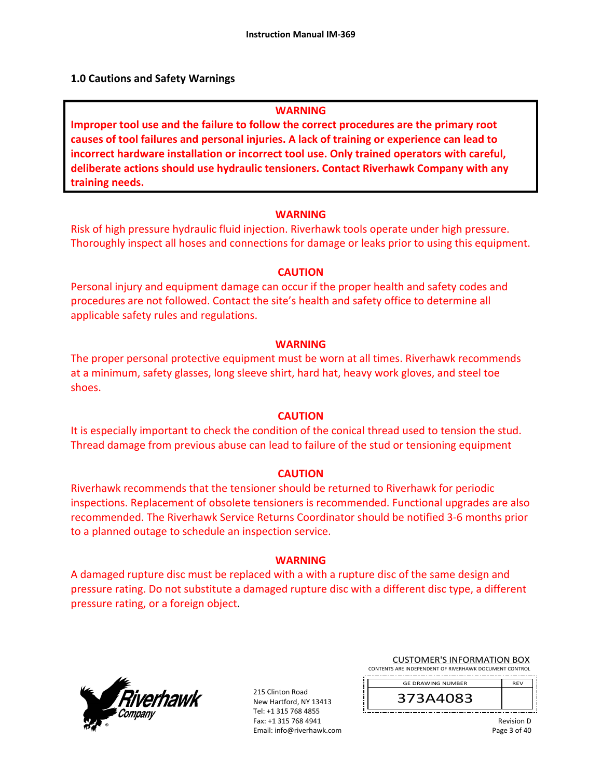# **1.0 Cautions and Safety Warnings**

# **WARNING**

**Improper tool use and the failure to follow the correct procedures are the primary root causes of tool failures and personal injuries. A lack of training or experience can lead to incorrect hardware installation or incorrect tool use. Only trained operators with careful, deliberate actions should use hydraulic tensioners. Contact Riverhawk Company with any training needs.** 

#### **WARNING**

Risk of high pressure hydraulic fluid injection. Riverhawk tools operate under high pressure. Thoroughly inspect all hoses and connections for damage or leaks prior to using this equipment.

#### **CAUTION**

Personal injury and equipment damage can occur if the proper health and safety codes and procedures are not followed. Contact the site's health and safety office to determine all applicable safety rules and regulations.

#### **WARNING**

The proper personal protective equipment must be worn at all times. Riverhawk recommends at a minimum, safety glasses, long sleeve shirt, hard hat, heavy work gloves, and steel toe shoes.

# **CAUTION**

It is especially important to check the condition of the conical thread used to tension the stud. Thread damage from previous abuse can lead to failure of the stud or tensioning equipment

# **CAUTION**

Riverhawk recommends that the tensioner should be returned to Riverhawk for periodic inspections. Replacement of obsolete tensioners is recommended. Functional upgrades are also recommended. The Riverhawk Service Returns Coordinator should be notified 3‐6 months prior to a planned outage to schedule an inspection service.

# **WARNING**

A damaged rupture disc must be replaced with a with a rupture disc of the same design and pressure rating. Do not substitute a damaged rupture disc with a different disc type, a different pressure rating, or a foreign object.



215 Clinton Road New Hartford, NY 13413 Tel: +1 315 768 4855 Fax: +1 315 768 4941 Email: info@riverhawk.com

|  |  | <b>CUSTOMER'S INFORMATION BOX</b>                      |  |
|--|--|--------------------------------------------------------|--|
|  |  | CONTENTS ARE INDEPENDENT OF RIVERHAWK DOCUMENT CONTROL |  |

373A4083 GE DRAWING NUMBER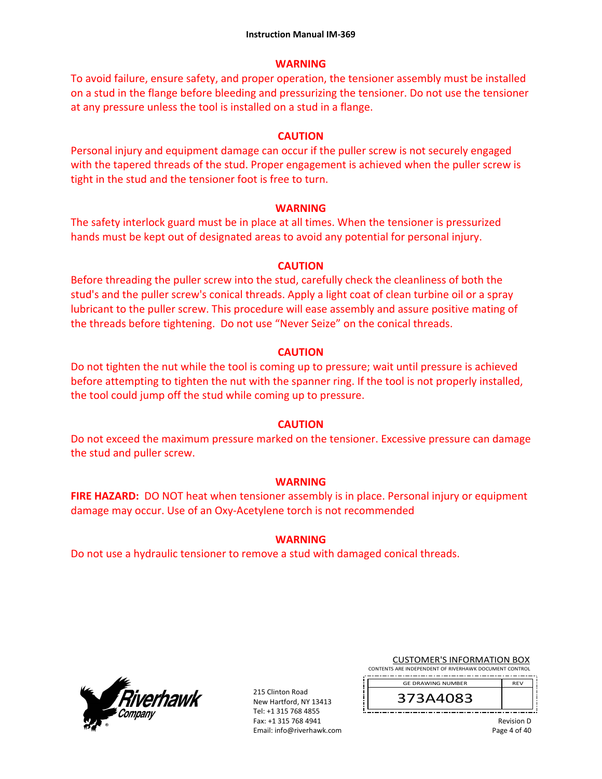# **WARNING**

To avoid failure, ensure safety, and proper operation, the tensioner assembly must be installed on a stud in the flange before bleeding and pressurizing the tensioner. Do not use the tensioner at any pressure unless the tool is installed on a stud in a flange.

# **CAUTION**

Personal injury and equipment damage can occur if the puller screw is not securely engaged with the tapered threads of the stud. Proper engagement is achieved when the puller screw is tight in the stud and the tensioner foot is free to turn.

# **WARNING**

The safety interlock guard must be in place at all times. When the tensioner is pressurized hands must be kept out of designated areas to avoid any potential for personal injury.

# **CAUTION**

Before threading the puller screw into the stud, carefully check the cleanliness of both the stud's and the puller screw's conical threads. Apply a light coat of clean turbine oil or a spray lubricant to the puller screw. This procedure will ease assembly and assure positive mating of the threads before tightening. Do not use "Never Seize" on the conical threads.

# **CAUTION**

Do not tighten the nut while the tool is coming up to pressure; wait until pressure is achieved before attempting to tighten the nut with the spanner ring. If the tool is not properly installed, the tool could jump off the stud while coming up to pressure.

# **CAUTION**

Do not exceed the maximum pressure marked on the tensioner. Excessive pressure can damage the stud and puller screw.

# **WARNING**

**FIRE HAZARD:** DO NOT heat when tensioner assembly is in place. Personal injury or equipment damage may occur. Use of an Oxy‐Acetylene torch is not recommended

# **WARNING**

Do not use a hydraulic tensioner to remove a stud with damaged conical threads.



215 Clinton Road New Hartford, NY 13413 Tel: +1 315 768 4855 Fax: +1 315 768 4941 Email: info@riverhawk.com CUSTOMER'S INFORMATION BOX

CONTENTS ARE INDEPENDENT OF RIVERHAWK DOCUMENT CONTROL

REV 373A4083 GE DRAWING NUMBER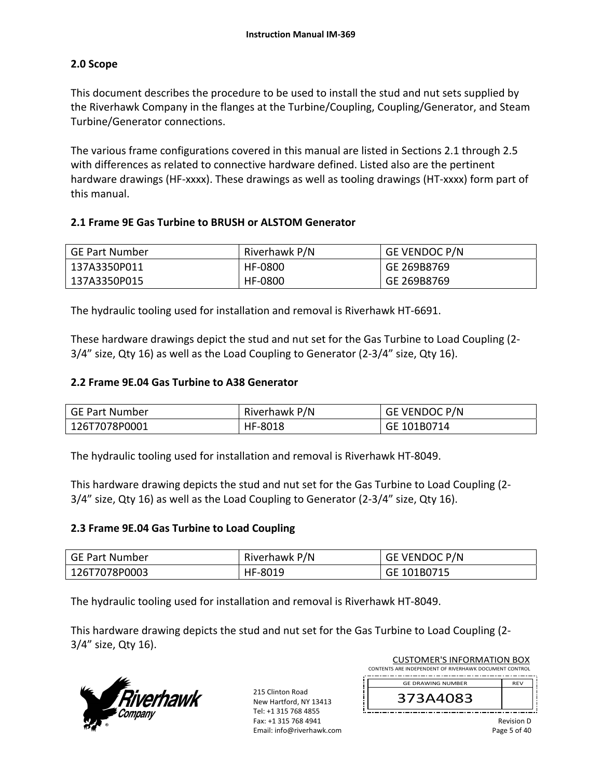# **2.0 Scope**

This document describes the procedure to be used to install the stud and nut sets supplied by the Riverhawk Company in the flanges at the Turbine/Coupling, Coupling/Generator, and Steam Turbine/Generator connections.

The various frame configurations covered in this manual are listed in Sections 2.1 through 2.5 with differences as related to connective hardware defined. Listed also are the pertinent hardware drawings (HF-xxxx). These drawings as well as tooling drawings (HT-xxxx) form part of this manual.

# **2.1 Frame 9E Gas Turbine to BRUSH or ALSTOM Generator**

| <b>GE Part Number</b> | Riverhawk P/N | <b>GE VENDOC P/N</b> |
|-----------------------|---------------|----------------------|
| 137A3350P011          | HF-0800       | GE 269B8769          |
| 137A3350P015          | HF-0800       | GE 269B8769          |

The hydraulic tooling used for installation and removal is Riverhawk HT‐6691.

These hardware drawings depict the stud and nut set for the Gas Turbine to Load Coupling (2‐ 3/4" size, Qty 16) as well as the Load Coupling to Generator (2‐3/4" size, Qty 16).

# **2.2 Frame 9E.04 Gas Turbine to A38 Generator**

| <b>GE Part Number</b> | Riverhawk P/N | GE VENDOC P/N |
|-----------------------|---------------|---------------|
| 126T7078P0001         | HF-8018       | GE 101B0714   |

The hydraulic tooling used for installation and removal is Riverhawk HT‐8049.

This hardware drawing depicts the stud and nut set for the Gas Turbine to Load Coupling (2‐ 3/4" size, Qty 16) as well as the Load Coupling to Generator (2‐3/4" size, Qty 16).

# **2.3 Frame 9E.04 Gas Turbine to Load Coupling**

| GE Part Number | Riverhawk P/N | <b>GE VENDOC P/N</b> |
|----------------|---------------|----------------------|
| 126T7078P0003  | HF-8019       | GE 101B0715          |

The hydraulic tooling used for installation and removal is Riverhawk HT‐8049.

This hardware drawing depicts the stud and nut set for the Gas Turbine to Load Coupling (2‐ 3/4" size, Qty 16).



215 Clinton Road New Hartford, NY 13413 Tel: +1 315 768 4855 Fax: +1 315 768 4941 Email: info@riverhawk.com

| <b>CUSTOMER'S INFORMATION BOX</b>                      |            |
|--------------------------------------------------------|------------|
| CONTENTS ARE INDEPENDENT OF RIVERHAWK DOCUMENT CONTROL |            |
| <b>GE DRAWING NUMBER</b>                               | <b>RFV</b> |
| 373A4083                                               |            |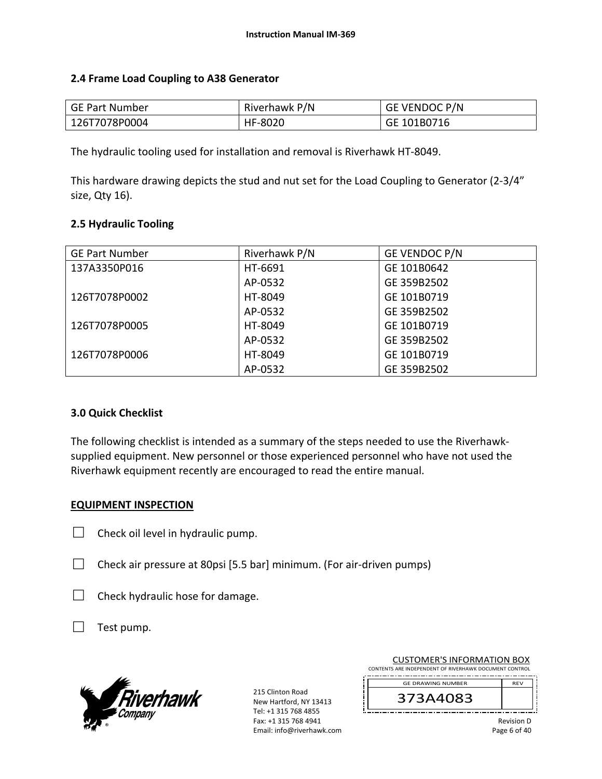# **2.4 Frame Load Coupling to A38 Generator**

| GE Part Number | Riverhawk P/N | <b>GE VENDOC P/N</b> |
|----------------|---------------|----------------------|
| 126T7078P0004  | HF-8020       | GE 101B0716          |

The hydraulic tooling used for installation and removal is Riverhawk HT‐8049.

This hardware drawing depicts the stud and nut set for the Load Coupling to Generator (2‐3/4" size, Qty 16).

# **2.5 Hydraulic Tooling**

| <b>GE Part Number</b> | Riverhawk P/N | GE VENDOC P/N |
|-----------------------|---------------|---------------|
| 137A3350P016          | HT-6691       | GE 101B0642   |
|                       | AP-0532       | GE 359B2502   |
| 126T7078P0002         | HT-8049       | GE 101B0719   |
|                       | AP-0532       | GE 359B2502   |
| 126T7078P0005         | HT-8049       | GE 101B0719   |
|                       | AP-0532       | GE 359B2502   |
| 126T7078P0006         | HT-8049       | GE 101B0719   |
|                       | AP-0532       | GE 359B2502   |

# **3.0 Quick Checklist**

The following checklist is intended as a summary of the steps needed to use the Riverhawk‐ supplied equipment. New personnel or those experienced personnel who have not used the Riverhawk equipment recently are encouraged to read the entire manual.

# **EQUIPMENT INSPECTION**

- $\Box$  Check oil level in hydraulic pump.
- $\Box$  Check air pressure at 80psi [5.5 bar] minimum. (For air-driven pumps)
- $\Box$  Check hydraulic hose for damage.
- $\Box$  Test pump.



215 Clinton Road New Hartford, NY 13413 Tel: +1 315 768 4855 Fax: +1 315 768 4941 Email: info@riverhawk.com

| <b>CUSTOMER'S INFORMATION BOX</b>                      |  |  |
|--------------------------------------------------------|--|--|
| CONTENTS ARE INDEPENDENT OF RIVERHAWK DOCUMENT CONTROL |  |  |

REV GE DRAWING NUMBER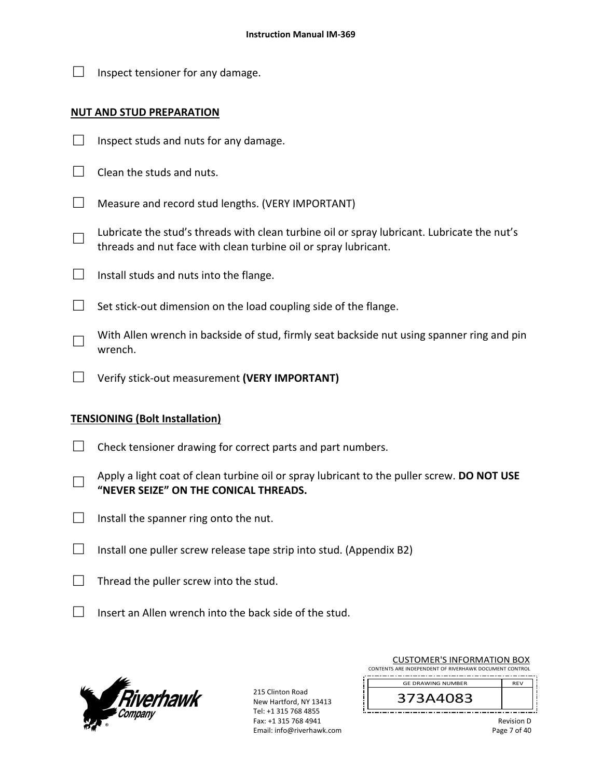$\Box$  Inspect tensioner for any damage.

# **NUT AND STUD PREPARATION**

- $\Box$  Inspect studs and nuts for any damage.
- $\Box$  Clean the studs and nuts.
- $\Box$  Measure and record stud lengths. (VERY IMPORTANT)
- □ Lubricate the stud's threads with clean turbine oil or spray lubricant. Lubricate the nut's threads and nut face with clean turbine oil or spray lubricant.
- $\Box$  Install studs and nuts into the flange.
- $\Box$  Set stick-out dimension on the load coupling side of the flange.
- □ With Allen wrench in backside of stud, firmly seat backside nut using spanner ring and pin wrench.
- □ Verify stick‐out measurement **(VERY IMPORTANT)**

# **TENSIONING (Bolt Installation)**

- $\Box$  Check tensioner drawing for correct parts and part numbers.
- □ Apply a light coat of clean turbine oil or spray lubricant to the puller screw. **DO NOT USE "NEVER SEIZE" ON THE CONICAL THREADS.**
- $\Box$  Install the spanner ring onto the nut.
- $\Box$  Install one puller screw release tape strip into stud. (Appendix B2)
- $\Box$  Thread the puller screw into the stud.
- $\Box$  Insert an Allen wrench into the back side of the stud.



215 Clinton Road New Hartford, NY 13413 Tel: +1 315 768 4855 Fax: +1 315 768 4941 Email: info@riverhawk.com

| <b>CUSTOMER'S INFORMATION BOX</b>                      |            |  |
|--------------------------------------------------------|------------|--|
| CONTENTS ARE INDEPENDENT OF RIVERHAWK DOCUMENT CONTROL |            |  |
| <b>GE DRAWING NUMBER</b>                               | <b>RFV</b> |  |
|                                                        |            |  |

373A4083

Revision D Page 7 of 40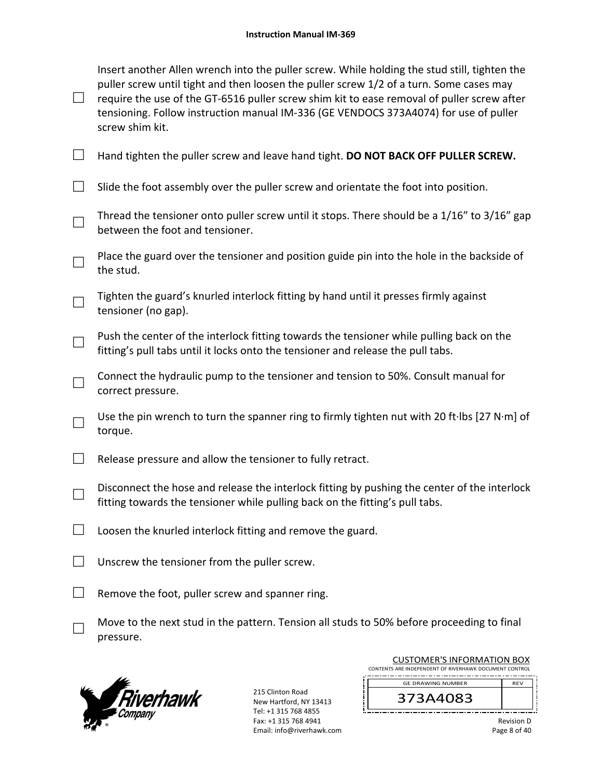| $\Box$ | Insert another Allen wrench into the puller screw. While holding the stud still, tighten the<br>puller screw until tight and then loosen the puller screw 1/2 of a turn. Some cases may<br>require the use of the GT-6516 puller screw shim kit to ease removal of puller screw after<br>tensioning. Follow instruction manual IM-336 (GE VENDOCS 373A4074) for use of puller<br>screw shim kit. |
|--------|--------------------------------------------------------------------------------------------------------------------------------------------------------------------------------------------------------------------------------------------------------------------------------------------------------------------------------------------------------------------------------------------------|
| $\Box$ | Hand tighten the puller screw and leave hand tight. DO NOT BACK OFF PULLER SCREW.                                                                                                                                                                                                                                                                                                                |
|        | Slide the foot assembly over the puller screw and orientate the foot into position.                                                                                                                                                                                                                                                                                                              |
|        | Thread the tensioner onto puller screw until it stops. There should be a 1/16" to 3/16" gap<br>between the foot and tensioner.                                                                                                                                                                                                                                                                   |
|        | Place the guard over the tensioner and position guide pin into the hole in the backside of<br>the stud.                                                                                                                                                                                                                                                                                          |
|        | Tighten the guard's knurled interlock fitting by hand until it presses firmly against<br>tensioner (no gap).                                                                                                                                                                                                                                                                                     |
|        | Push the center of the interlock fitting towards the tensioner while pulling back on the<br>fitting's pull tabs until it locks onto the tensioner and release the pull tabs.                                                                                                                                                                                                                     |
|        | Connect the hydraulic pump to the tensioner and tension to 50%. Consult manual for<br>correct pressure.                                                                                                                                                                                                                                                                                          |
|        | Use the pin wrench to turn the spanner ring to firmly tighten nut with 20 ft·lbs [27 N·m] of<br>torque.                                                                                                                                                                                                                                                                                          |
|        | Release pressure and allow the tensioner to fully retract.                                                                                                                                                                                                                                                                                                                                       |
|        | Disconnect the hose and release the interlock fitting by pushing the center of the interlock<br>fitting towards the tensioner while pulling back on the fitting's pull tabs.                                                                                                                                                                                                                     |
|        | Loosen the knurled interlock fitting and remove the guard.                                                                                                                                                                                                                                                                                                                                       |
|        | Unscrew the tensioner from the puller screw.                                                                                                                                                                                                                                                                                                                                                     |
|        | Remove the foot, puller screw and spanner ring.                                                                                                                                                                                                                                                                                                                                                  |
|        | Move to the next stud in the pattern. Tension all studs to 50% before proceeding to final<br>pressure.                                                                                                                                                                                                                                                                                           |



215 Clinton Road New Hartford, NY 13413 Tel: +1 315 768 4855 Fax: +1 315 768 4941 Email: info@riverhawk.com

| <b>CUSTOMER'S INFORMATION BOX</b>                      |            |
|--------------------------------------------------------|------------|
| CONTENTS ARE INDEPENDENT OF RIVERHAWK DOCUMENT CONTROL |            |
| <b>GE DRAWING NUMBER</b>                               | <b>RFV</b> |
| 373A4083                                               |            |

Revision D Page 8 of 40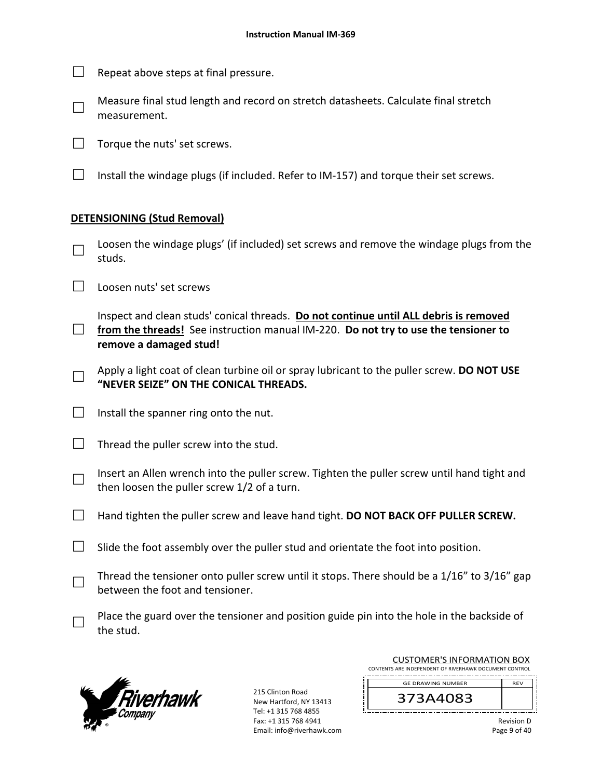- $\Box$  Repeat above steps at final pressure.
- □ Measure final stud length and record on stretch datasheets. Calculate final stretch measurement.

 $\Box$  Torque the nuts' set screws.

 $\Box$  Install the windage plugs (if included. Refer to IM-157) and torque their set screws.

# **DETENSIONING (Stud Removal)**

- □ Loosen the windage plugs' (if included) set screws and remove the windage plugs from the studs.
- □ Loosen nuts' set screws
- □ from the threads! See instruction manual IM-220. **Do not try to use the tensioner to** Inspect and clean studs' conical threads. **Do not continue until ALL debris is removed remove a damaged stud!**
- □ Apply a light coat of clean turbine oil or spray lubricant to the puller screw. **DO NOT USE "NEVER SEIZE" ON THE CONICAL THREADS.**
- $\Box$  Install the spanner ring onto the nut.
- $\Box$  Thread the puller screw into the stud.
- □ Insert an Allen wrench into the puller screw. Tighten the puller screw until hand tight and then loosen the puller screw 1/2 of a turn.
- □ Hand tighten the puller screw and leave hand tight. **DO NOT BACK OFF PULLER SCREW.**
- $\Box$  Slide the foot assembly over the puller stud and orientate the foot into position.
- □ Thread the tensioner onto puller screw until it stops. There should be a 1/16" to 3/16" gap between the foot and tensioner.
- □ Place the guard over the tensioner and position guide pin into the hole in the backside of the stud.



215 Clinton Road New Hartford, NY 13413 Tel: +1 315 768 4855 Fax: +1 315 768 4941 Email: info@riverhawk.com

| <b>CUSTOMER'S INFORMATION BOX</b>                      |            |  |
|--------------------------------------------------------|------------|--|
| CONTENTS ARE INDEPENDENT OF RIVERHAWK DOCUMENT CONTROL |            |  |
| <b>GE DRAWING NUMBER</b>                               | <b>RFV</b> |  |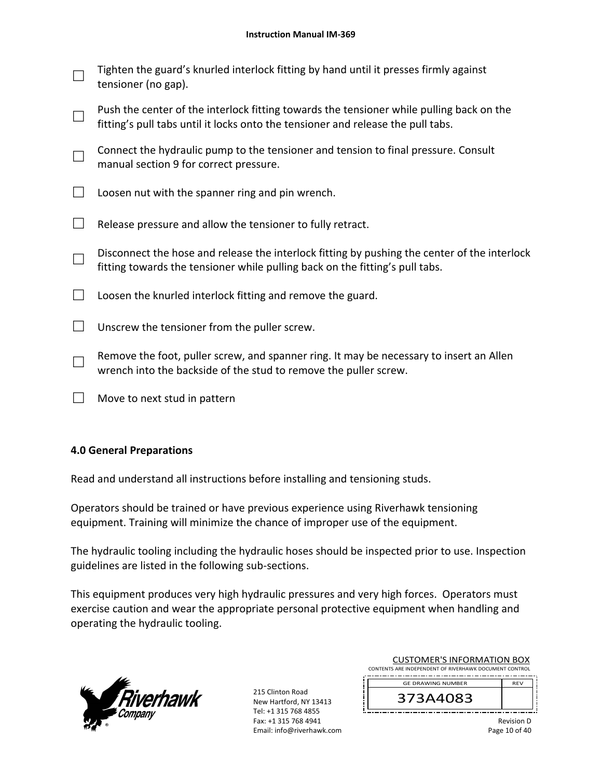| $\Box$ | Tighten the guard's knurled interlock fitting by hand until it presses firmly against |
|--------|---------------------------------------------------------------------------------------|
|        | $\Box$ tensioner (no gap).                                                            |

| Push the center of the interlock fitting towards the tensioner while pulling back on the |
|------------------------------------------------------------------------------------------|
| $\Box$ fitting's pull tabs until it locks onto the tensioner and release the pull tabs.  |

□ Connect the hydraulic pump to the tensioner and tension to final pressure. Consult manual section 9 for correct pressure.

 $\Box$  Loosen nut with the spanner ring and pin wrench.

 $\Box$  Release pressure and allow the tensioner to fully retract.

□ Disconnect the hose and release the interlock fitting by pushing the center of the interlock fitting towards the tensioner while pulling back on the fitting's pull tabs.

 $\Box$  Loosen the knurled interlock fitting and remove the guard.

 $\Box$  Unscrew the tensioner from the puller screw.

□ Remove the foot, puller screw, and spanner ring. It may be necessary to insert an Allen wrench into the backside of the stud to remove the puller screw.

 $\Box$  Move to next stud in pattern

# **4.0 General Preparations**

Read and understand all instructions before installing and tensioning studs.

Operators should be trained or have previous experience using Riverhawk tensioning equipment. Training will minimize the chance of improper use of the equipment.

The hydraulic tooling including the hydraulic hoses should be inspected prior to use. Inspection guidelines are listed in the following sub‐sections.

This equipment produces very high hydraulic pressures and very high forces. Operators must exercise caution and wear the appropriate personal protective equipment when handling and operating the hydraulic tooling.



215 Clinton Road New Hartford, NY 13413 Tel: +1 315 768 4855 Fax: +1 315 768 4941 Email: info@riverhawk.com

| <b>CUSTOMER'S INFORMATION BOX</b>                      |            |  |
|--------------------------------------------------------|------------|--|
| CONTENTS ARE INDEPENDENT OF RIVERHAWK DOCUMENT CONTROL |            |  |
| <b>GE DRAWING NUMBER</b>                               | <b>RFV</b> |  |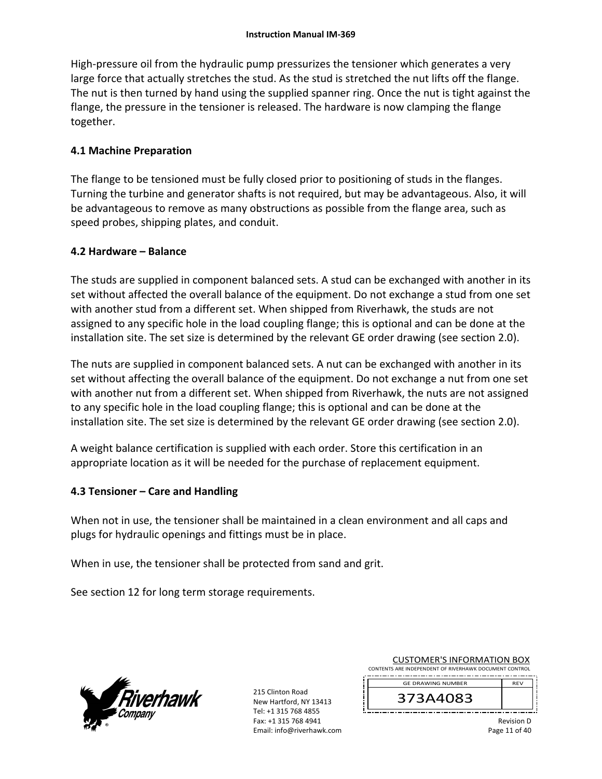High-pressure oil from the hydraulic pump pressurizes the tensioner which generates a very large force that actually stretches the stud. As the stud is stretched the nut lifts off the flange. The nut is then turned by hand using the supplied spanner ring. Once the nut is tight against the flange, the pressure in the tensioner is released. The hardware is now clamping the flange together.

# **4.1 Machine Preparation**

The flange to be tensioned must be fully closed prior to positioning of studs in the flanges. Turning the turbine and generator shafts is not required, but may be advantageous. Also, it will be advantageous to remove as many obstructions as possible from the flange area, such as speed probes, shipping plates, and conduit.

# **4.2 Hardware – Balance**

The studs are supplied in component balanced sets. A stud can be exchanged with another in its set without affected the overall balance of the equipment. Do not exchange a stud from one set with another stud from a different set. When shipped from Riverhawk, the studs are not assigned to any specific hole in the load coupling flange; this is optional and can be done at the installation site. The set size is determined by the relevant GE order drawing (see section 2.0).

The nuts are supplied in component balanced sets. A nut can be exchanged with another in its set without affecting the overall balance of the equipment. Do not exchange a nut from one set with another nut from a different set. When shipped from Riverhawk, the nuts are not assigned to any specific hole in the load coupling flange; this is optional and can be done at the installation site. The set size is determined by the relevant GE order drawing (see section 2.0).

A weight balance certification is supplied with each order. Store this certification in an appropriate location as it will be needed for the purchase of replacement equipment.

# **4.3 Tensioner – Care and Handling**

When not in use, the tensioner shall be maintained in a clean environment and all caps and plugs for hydraulic openings and fittings must be in place.

When in use, the tensioner shall be protected from sand and grit.

See section 12 for long term storage requirements.



215 Clinton Road New Hartford, NY 13413 Tel: +1 315 768 4855 Fax: +1 315 768 4941 Email: info@riverhawk.com

| <b>CUSTOMER'S INFORMATION BOX</b>                      |            |
|--------------------------------------------------------|------------|
| CONTENTS ARE INDEPENDENT OF RIVERHAWK DOCUMENT CONTROL |            |
| <b>GE DRAWING NUMBER</b>                               | <b>RFV</b> |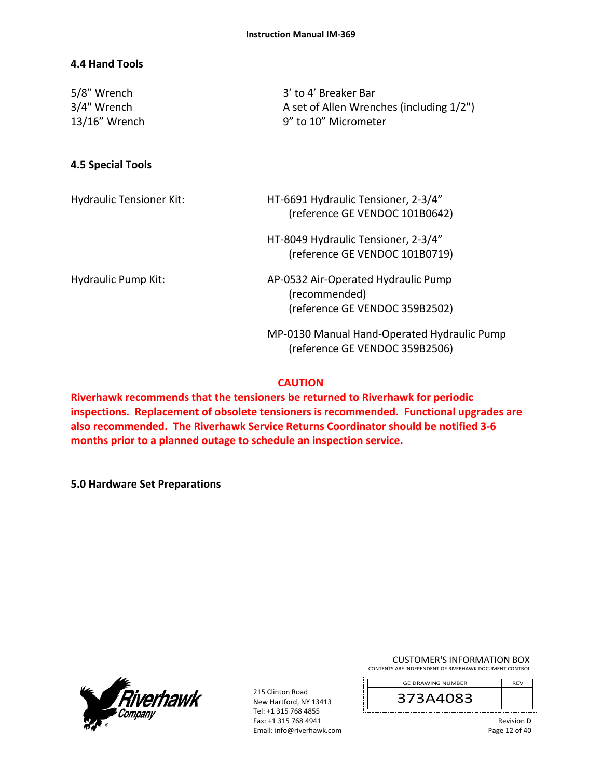# **4.4 Hand Tools**

| 5/8" Wrench<br>3/4" Wrench<br>13/16" Wrench | 3' to 4' Breaker Bar<br>A set of Allen Wrenches (including 1/2")<br>9" to 10" Micrometer |
|---------------------------------------------|------------------------------------------------------------------------------------------|
| 4.5 Special Tools                           |                                                                                          |
| <b>Hydraulic Tensioner Kit:</b>             | HT-6691 Hydraulic Tensioner, 2-3/4"<br>(reference GE VENDOC 101B0642)                    |
|                                             | HT-8049 Hydraulic Tensioner, 2-3/4"<br>(reference GE VENDOC 101B0719)                    |
| <b>Hydraulic Pump Kit:</b>                  | AP-0532 Air-Operated Hydraulic Pump<br>(recommended)<br>(reference GE VENDOC 359B2502)   |
|                                             | MP-0130 Manual Hand-Operated Hydraulic Pump<br>(reference GE VENDOC 359B2506)            |

#### **CAUTION**

**Riverhawk recommends that the tensioners be returned to Riverhawk for periodic inspections. Replacement of obsolete tensioners is recommended. Functional upgrades are also recommended. The Riverhawk Service Returns Coordinator should be notified 3‐6 months prior to a planned outage to schedule an inspection service.** 

**5.0 Hardware Set Preparations** 



215 Clinton Road New Hartford, NY 13413 Tel: +1 315 768 4855 Fax: +1 315 768 4941 Email: info@riverhawk.com CUSTOMER'S INFORMATION BOX

CONTENTS ARE INDEPENDENT OF RIVERHAWK DOCUMENT CONTROL

373A4083 GE DRAWING NUMBER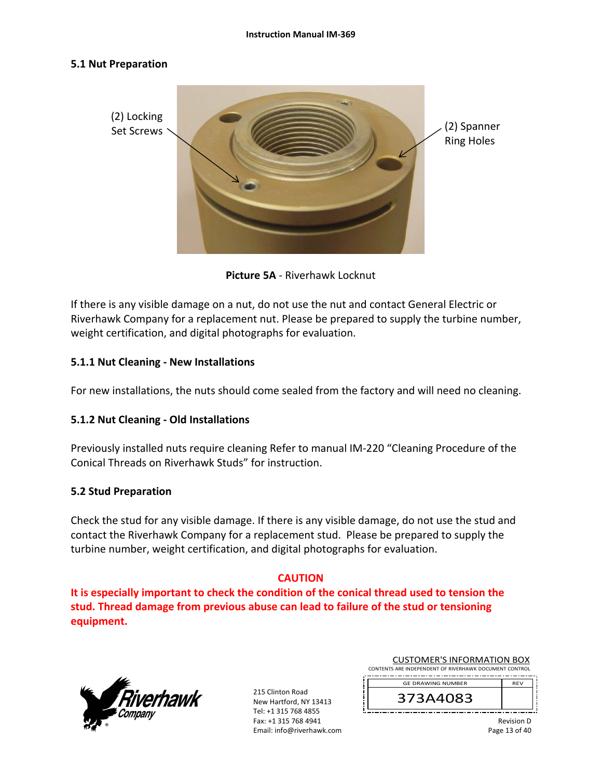#### **5.1 Nut Preparation**



**Picture 5A** ‐ Riverhawk Locknut

If there is any visible damage on a nut, do not use the nut and contact General Electric or Riverhawk Company for a replacement nut. Please be prepared to supply the turbine number, weight certification, and digital photographs for evaluation.

# **5.1.1 Nut Cleaning ‐ New Installations**

For new installations, the nuts should come sealed from the factory and will need no cleaning.

# **5.1.2 Nut Cleaning ‐ Old Installations**

Previously installed nuts require cleaning Refer to manual IM‐220 "Cleaning Procedure of the Conical Threads on Riverhawk Studs" for instruction.

# **5.2 Stud Preparation**

Check the stud for any visible damage. If there is any visible damage, do not use the stud and contact the Riverhawk Company for a replacement stud. Please be prepared to supply the turbine number, weight certification, and digital photographs for evaluation.

# **CAUTION**

**It is especially important to check the condition of the conical thread used to tension the stud. Thread damage from previous abuse can lead to failure of the stud or tensioning equipment.**



215 Clinton Road New Hartford, NY 13413 Tel: +1 315 768 4855 Fax: +1 315 768 4941 Email: info@riverhawk.com

| <b>CUSTOMER'S INFORMATION BOX</b>                      |
|--------------------------------------------------------|
| CONTENTS ARE INDEPENDENT OF RIVERHAWK DOCUMENT CONTROL |

GE DRAWING NUMBER

373A4083

Revision D Page 13 of 40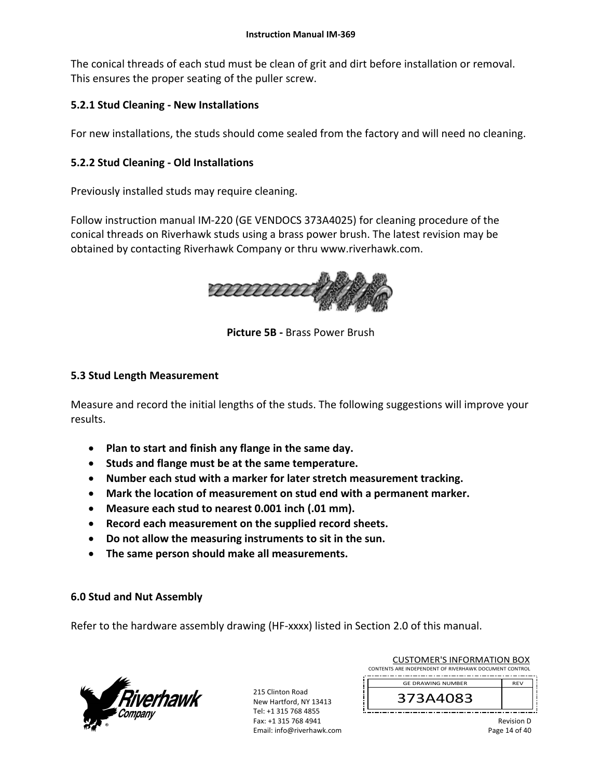The conical threads of each stud must be clean of grit and dirt before installation or removal. This ensures the proper seating of the puller screw.

# **5.2.1 Stud Cleaning ‐ New Installations**

For new installations, the studs should come sealed from the factory and will need no cleaning.

# **5.2.2 Stud Cleaning ‐ Old Installations**

Previously installed studs may require cleaning.

Follow instruction manual IM‐220 (GE VENDOCS 373A4025) for cleaning procedure of the conical threads on Riverhawk studs using a brass power brush. The latest revision may be obtained by contacting Riverhawk Company or thru www.riverhawk.com.



**Picture 5B ‐** Brass Power Brush

# **5.3 Stud Length Measurement**

Measure and record the initial lengths of the studs. The following suggestions will improve your results.

- **Plan to start and finish any flange in the same day.**
- **Studs and flange must be at the same temperature.**
- **Number each stud with a marker for later stretch measurement tracking.**
- **Mark the location of measurement on stud end with a permanent marker.**
- **Measure each stud to nearest 0.001 inch (.01 mm).**
- **Record each measurement on the supplied record sheets.**
- **Do not allow the measuring instruments to sit in the sun.**
- **The same person should make all measurements.**

# **6.0 Stud and Nut Assembly**

Refer to the hardware assembly drawing (HF-xxxx) listed in Section 2.0 of this manual.



215 Clinton Road New Hartford, NY 13413 Tel: +1 315 768 4855 Fax: +1 315 768 4941 Email: info@riverhawk.com

| COSTONIER STINI ORIVIATION DOA                         |            |
|--------------------------------------------------------|------------|
| CONTENTS ARE INDEPENDENT OF RIVERHAWK DOCUMENT CONTROL |            |
| <b>GE DRAWING NUMBER</b>                               | <b>RFV</b> |
| 373A4083                                               |            |

CUSTOMER'S INFORMATION ROY

Revision D Page 14 of 40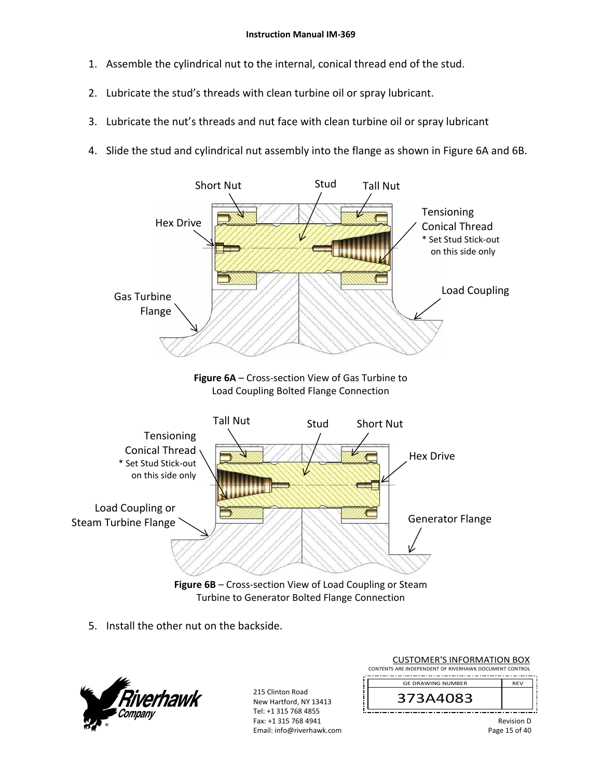- 1. Assemble the cylindrical nut to the internal, conical thread end of the stud.
- 2. Lubricate the stud's threads with clean turbine oil or spray lubricant.
- 3. Lubricate the nut's threads and nut face with clean turbine oil or spray lubricant
- 4. Slide the stud and cylindrical nut assembly into the flange as shown in Figure 6A and 6B.







Figure 6B – Cross-section View of Load Coupling or Steam Turbine to Generator Bolted Flange Connection

5. Install the other nut on the backside.



215 Clinton Road New Hartford, NY 13413 Tel: +1 315 768 4855 Fax: +1 315 768 4941 Email: info@riverhawk.com

| <b>CUSTOMER'S INFORMATION BOX</b>                      |  |
|--------------------------------------------------------|--|
| CONTENTS ARE INDEPENDENT OF RIVERHAWK DOCUMENT CONTROL |  |
| --------------------------                             |  |
| __ _ _ _  _  ._ _                                      |  |

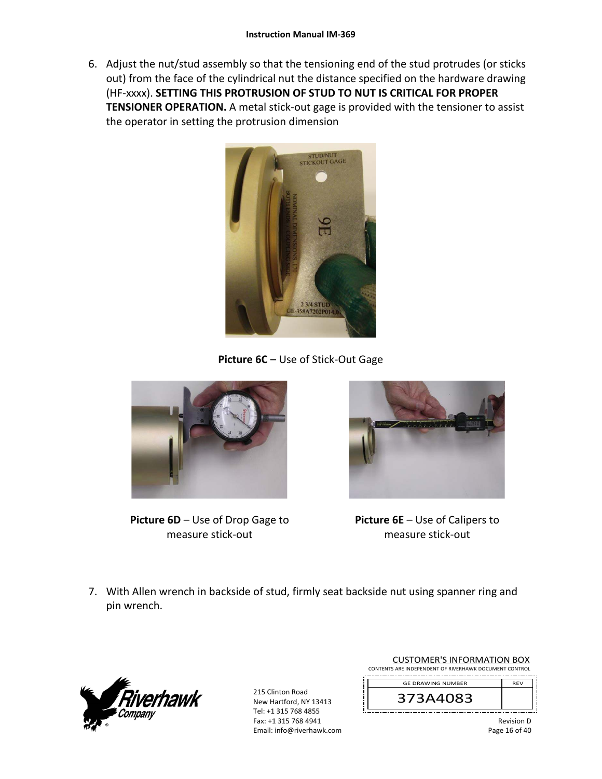6. Adjust the nut/stud assembly so that the tensioning end of the stud protrudes (or sticks out) from the face of the cylindrical nut the distance specified on the hardware drawing (HF‐xxxx). **SETTING THIS PROTRUSION OF STUD TO NUT IS CRITICAL FOR PROPER TENSIONER OPERATION.** A metal stick-out gage is provided with the tensioner to assist the operator in setting the protrusion dimension



**Picture 6C** – Use of Stick‐Out Gage



**Picture 6D** – Use of Drop Gage to measure stick‐out



**Picture 6E** – Use of Calipers to measure stick‐out

7. With Allen wrench in backside of stud, firmly seat backside nut using spanner ring and pin wrench.



215 Clinton Road New Hartford, NY 13413 Tel: +1 315 768 4855 Fax: +1 315 768 4941 Email: info@riverhawk.com

| <b>CUSTOMER'S INFORMATION BOX</b>                      |
|--------------------------------------------------------|
| CONTENTS ARE INDEPENDENT OF RIVERHAWK DOCUMENT CONTROL |
|                                                        |

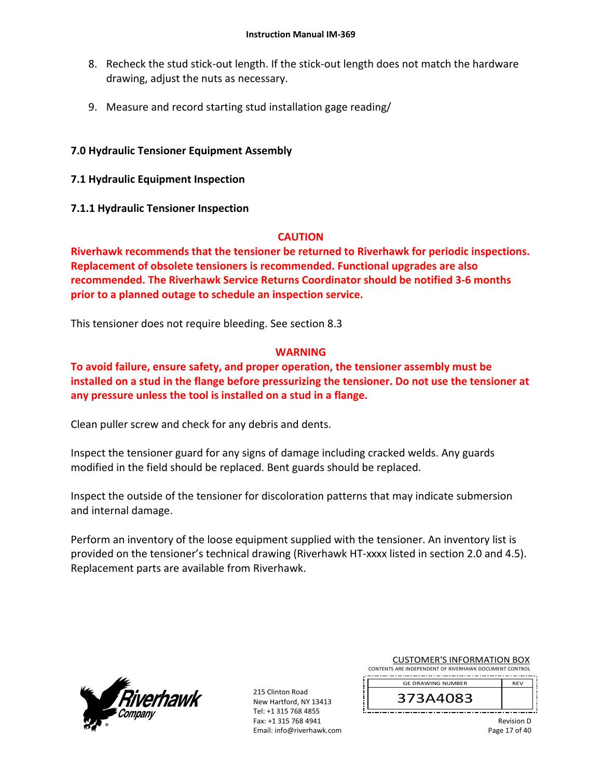- 8. Recheck the stud stick-out length. If the stick-out length does not match the hardware drawing, adjust the nuts as necessary.
- 9. Measure and record starting stud installation gage reading/

# **7.0 Hydraulic Tensioner Equipment Assembly**

- **7.1 Hydraulic Equipment Inspection**
- **7.1.1 Hydraulic Tensioner Inspection**

# **CAUTION**

**Riverhawk recommends that the tensioner be returned to Riverhawk for periodic inspections. Replacement of obsolete tensioners is recommended. Functional upgrades are also recommended. The Riverhawk Service Returns Coordinator should be notified 3‐6 months prior to a planned outage to schedule an inspection service.** 

This tensioner does not require bleeding. See section 8.3

# **WARNING**

**To avoid failure, ensure safety, and proper operation, the tensioner assembly must be installed on a stud in the flange before pressurizing the tensioner. Do not use the tensioner at any pressure unless the tool is installed on a stud in a flange.** 

Clean puller screw and check for any debris and dents.

Inspect the tensioner guard for any signs of damage including cracked welds. Any guards modified in the field should be replaced. Bent guards should be replaced.

Inspect the outside of the tensioner for discoloration patterns that may indicate submersion and internal damage.

Perform an inventory of the loose equipment supplied with the tensioner. An inventory list is provided on the tensioner's technical drawing (Riverhawk HT‐xxxx listed in section 2.0 and 4.5). Replacement parts are available from Riverhawk.



215 Clinton Road New Hartford, NY 13413 Tel: +1 315 768 4855 Fax: +1 315 768 4941 Email: info@riverhawk.com

|  | <b>CUSTOMER'S INFORMATION BOX</b>                      |  |  |
|--|--------------------------------------------------------|--|--|
|  | CONTENTS ARE INDEPENDENT OF RIVERHAWK DOCUMENT CONTROL |  |  |

373A4083 GE DRAWING NUMBER

> Revision D Page 17 of 40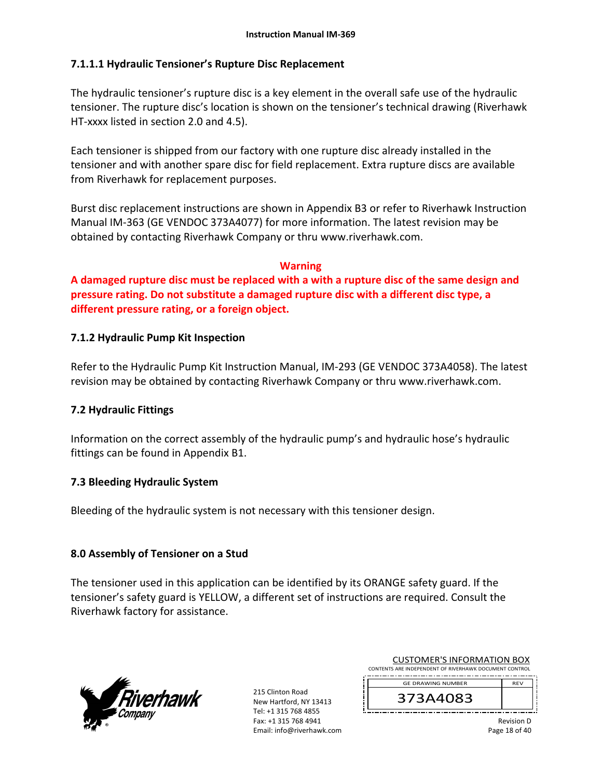# **7.1.1.1 Hydraulic Tensioner's Rupture Disc Replacement**

The hydraulic tensioner's rupture disc is a key element in the overall safe use of the hydraulic tensioner. The rupture disc's location is shown on the tensioner's technical drawing (Riverhawk HT‐xxxx listed in section 2.0 and 4.5).

Each tensioner is shipped from our factory with one rupture disc already installed in the tensioner and with another spare disc for field replacement. Extra rupture discs are available from Riverhawk for replacement purposes.

Burst disc replacement instructions are shown in Appendix B3 or refer to Riverhawk Instruction Manual IM‐363 (GE VENDOC 373A4077) for more information. The latest revision may be obtained by contacting Riverhawk Company or thru www.riverhawk.com.

# **Warning**

**A damaged rupture disc must be replaced with a with a rupture disc of the same design and pressure rating. Do not substitute a damaged rupture disc with a different disc type, a different pressure rating, or a foreign object.** 

# **7.1.2 Hydraulic Pump Kit Inspection**

Refer to the Hydraulic Pump Kit Instruction Manual, IM‐293 (GE VENDOC 373A4058). The latest revision may be obtained by contacting Riverhawk Company or thru www.riverhawk.com.

# **7.2 Hydraulic Fittings**

Information on the correct assembly of the hydraulic pump's and hydraulic hose's hydraulic fittings can be found in Appendix B1.

# **7.3 Bleeding Hydraulic System**

Bleeding of the hydraulic system is not necessary with this tensioner design.

# **8.0 Assembly of Tensioner on a Stud**

The tensioner used in this application can be identified by its ORANGE safety guard. If the tensioner's safety guard is YELLOW, a different set of instructions are required. Consult the Riverhawk factory for assistance.



215 Clinton Road New Hartford, NY 13413 Tel: +1 315 768 4855 Fax: +1 315 768 4941 Email: info@riverhawk.com

| <b>CUSTOMER'S INFORMATION BOX</b>                      |            |  |  |  |
|--------------------------------------------------------|------------|--|--|--|
| CONTENTS ARE INDEPENDENT OF RIVERHAWK DOCUMENT CONTROL |            |  |  |  |
| <b>GE DRAWING NUMBER</b>                               | <b>RFV</b> |  |  |  |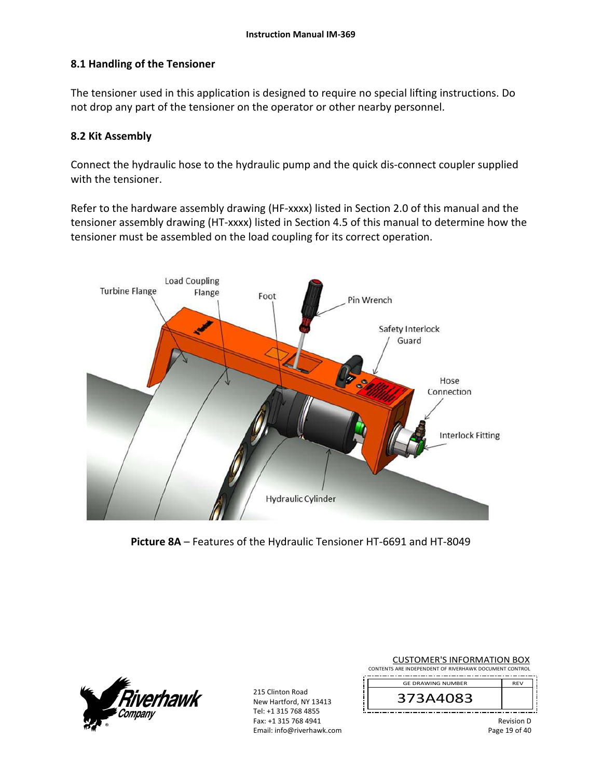# **8.1 Handling of the Tensioner**

The tensioner used in this application is designed to require no special lifting instructions. Do not drop any part of the tensioner on the operator or other nearby personnel.

#### **8.2 Kit Assembly**

Connect the hydraulic hose to the hydraulic pump and the quick dis‐connect coupler supplied with the tensioner.

Refer to the hardware assembly drawing (HF-xxxx) listed in Section 2.0 of this manual and the tensioner assembly drawing (HT‐xxxx) listed in Section 4.5 of this manual to determine how the tensioner must be assembled on the load coupling for its correct operation.



**Picture 8A** – Features of the Hydraulic Tensioner HT‐6691 and HT‐8049



215 Clinton Road New Hartford, NY 13413 Tel: +1 315 768 4855 Fax: +1 315 768 4941 Email: info@riverhawk.com

| <b>CUSTOMER'S INFORMATION BOX</b>                      |  |  |
|--------------------------------------------------------|--|--|
| CONTENTS ARE INDEPENDENT OF RIVERHAWK DOCUMENT CONTROL |  |  |

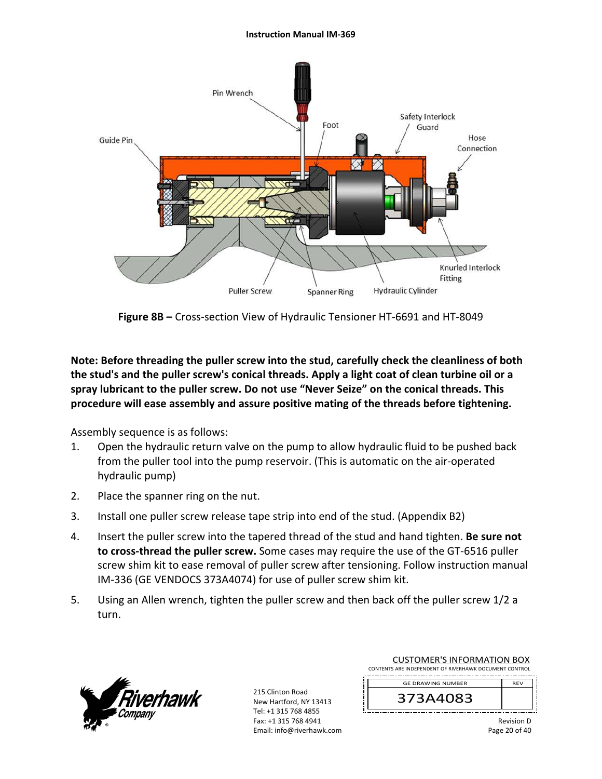#### **Instruction Manual IM‐369**



**Figure 8B –** Cross‐section View of Hydraulic Tensioner HT‐6691 and HT‐8049

**Note: Before threading the puller screw into the stud, carefully check the cleanliness of both the stud's and the puller screw's conical threads. Apply a light coat of clean turbine oil or a spray lubricant to the puller screw. Do not use "Never Seize" on the conical threads. This procedure will ease assembly and assure positive mating of the threads before tightening.** 

Assembly sequence is as follows:

- 1. Open the hydraulic return valve on the pump to allow hydraulic fluid to be pushed back from the puller tool into the pump reservoir. (This is automatic on the air‐operated hydraulic pump)
- 2. Place the spanner ring on the nut.
- 3. Install one puller screw release tape strip into end of the stud. (Appendix B2)
- 4. Insert the puller screw into the tapered thread of the stud and hand tighten. **Be sure not to cross‐thread the puller screw.** Some cases may require the use of the GT‐6516 puller screw shim kit to ease removal of puller screw after tensioning. Follow instruction manual IM‐336 (GE VENDOCS 373A4074) for use of puller screw shim kit.
- 5. Using an Allen wrench, tighten the puller screw and then back off the puller screw 1/2 a turn.



215 Clinton Road New Hartford, NY 13413 Tel: +1 315 768 4855 Fax: +1 315 768 4941 Email: info@riverhawk.com

| <b>CUSTOMER'S INFORMATION BOX</b>                      |  |  |  |
|--------------------------------------------------------|--|--|--|
| CONTENTS ARE INDEPENDENT OF RIVERHAWK DOCUMENT CONTROL |  |  |  |
| <b>GE DRAWING NUMBER</b>                               |  |  |  |
|                                                        |  |  |  |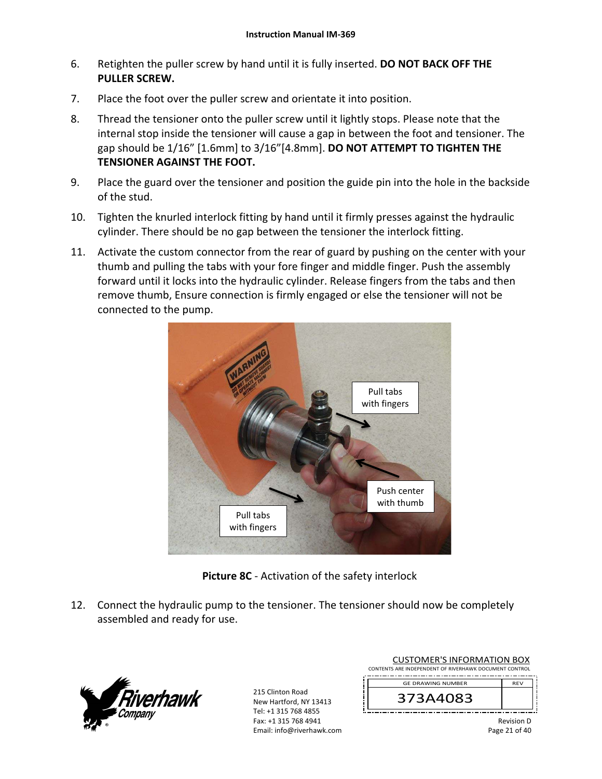- 6. Retighten the puller screw by hand until it is fully inserted. **DO NOT BACK OFF THE PULLER SCREW.**
- 7. Place the foot over the puller screw and orientate it into position.
- 8. Thread the tensioner onto the puller screw until it lightly stops. Please note that the internal stop inside the tensioner will cause a gap in between the foot and tensioner. The gap should be 1/16" [1.6mm] to 3/16"[4.8mm]. **DO NOT ATTEMPT TO TIGHTEN THE TENSIONER AGAINST THE FOOT.**
- 9. Place the guard over the tensioner and position the guide pin into the hole in the backside of the stud.
- 10. Tighten the knurled interlock fitting by hand until it firmly presses against the hydraulic cylinder. There should be no gap between the tensioner the interlock fitting.
- 11. Activate the custom connector from the rear of guard by pushing on the center with your thumb and pulling the tabs with your fore finger and middle finger. Push the assembly forward until it locks into the hydraulic cylinder. Release fingers from the tabs and then remove thumb, Ensure connection is firmly engaged or else the tensioner will not be connected to the pump.



**Picture 8C** ‐ Activation of the safety interlock

12. Connect the hydraulic pump to the tensioner. The tensioner should now be completely assembled and ready for use.



215 Clinton Road New Hartford, NY 13413 Tel: +1 315 768 4855 Fax: +1 315 768 4941 Email: info@riverhawk.com

| CUSTUIVIER STINFURIVIATION BUX                         |            |  |  |
|--------------------------------------------------------|------------|--|--|
| CONTENTS ARE INDEPENDENT OF RIVERHAWK DOCUMENT CONTROL |            |  |  |
| <b>GE DRAWING NUMBER</b>                               | <b>RFV</b> |  |  |
|                                                        |            |  |  |



CUSTOMER'S INFORMATION BOY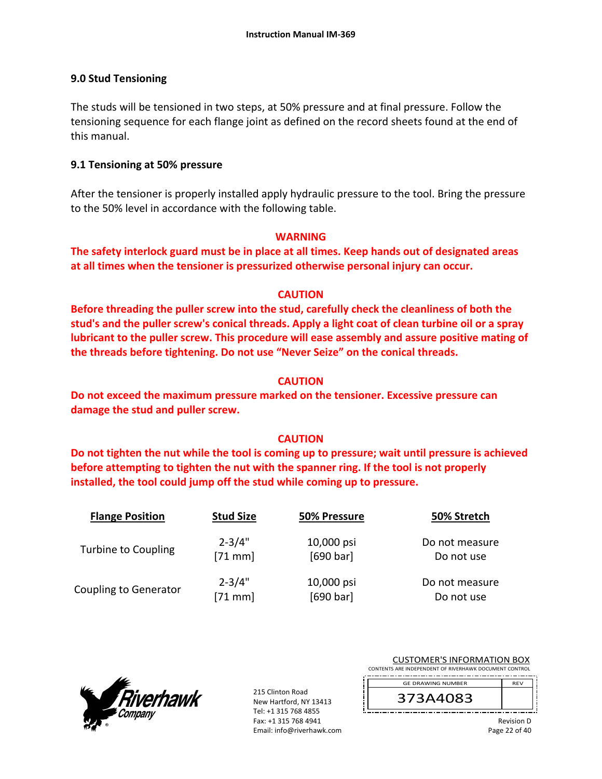# **9.0 Stud Tensioning**

The studs will be tensioned in two steps, at 50% pressure and at final pressure. Follow the tensioning sequence for each flange joint as defined on the record sheets found at the end of this manual.

# **9.1 Tensioning at 50% pressure**

After the tensioner is properly installed apply hydraulic pressure to the tool. Bring the pressure to the 50% level in accordance with the following table.

# **WARNING**

**The safety interlock guard must be in place at all times. Keep hands out of designated areas at all times when the tensioner is pressurized otherwise personal injury can occur.** 

# **CAUTION**

**Before threading the puller screw into the stud, carefully check the cleanliness of both the stud's and the puller screw's conical threads. Apply a light coat of clean turbine oil or a spray lubricant to the puller screw. This procedure will ease assembly and assure positive mating of the threads before tightening. Do not use "Never Seize" on the conical threads.** 

# **CAUTION**

**Do not exceed the maximum pressure marked on the tensioner. Excessive pressure can damage the stud and puller screw.** 

# **CAUTION**

**Do not tighten the nut while the tool is coming up to pressure; wait until pressure is achieved before attempting to tighten the nut with the spanner ring. If the tool is not properly installed, the tool could jump off the stud while coming up to pressure.** 

| <b>Flange Position</b>       | <b>Stud Size</b> | 50% Pressure | 50% Stretch    |
|------------------------------|------------------|--------------|----------------|
| Turbine to Coupling          | $2 - 3/4"$       | 10,000 psi   | Do not measure |
|                              | $[71$ mm         | [690 bar]    | Do not use     |
| <b>Coupling to Generator</b> | $2 - 3/4"$       | 10,000 psi   | Do not measure |
|                              | $[71$ mm]        | [690 bar]    | Do not use     |



215 Clinton Road New Hartford, NY 13413 Tel: +1 315 768 4855 Fax: +1 315 768 4941 Email: info@riverhawk.com ĺ

| CUSTUIVIER S INFORMATION BOA                           |  |  |  |
|--------------------------------------------------------|--|--|--|
| CONTENTS ARE INDEPENDENT OF RIVERHAWK DOCUMENT CONTROL |  |  |  |
| <b>RFV</b><br><b>GE DRAWING NUMBER</b>                 |  |  |  |
| 373A4083                                               |  |  |  |

CUSTOMER'S INFORMATION BOY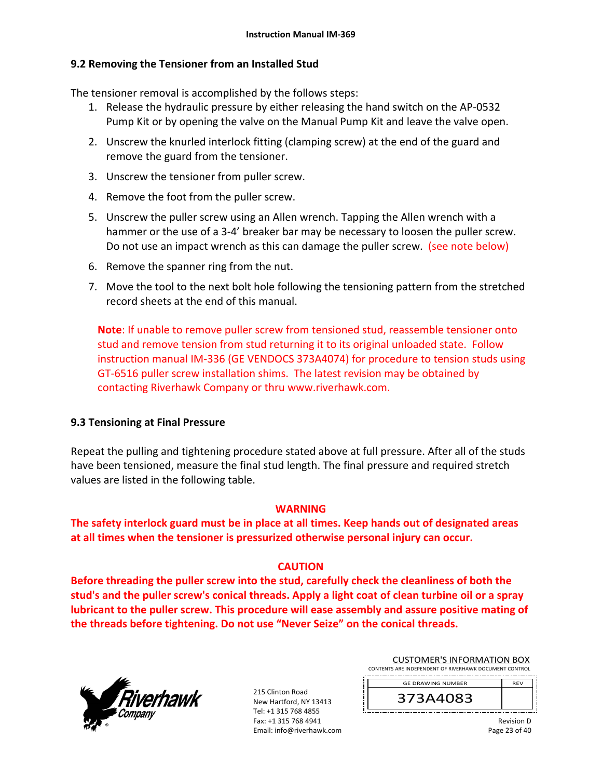# **9.2 Removing the Tensioner from an Installed Stud**

The tensioner removal is accomplished by the follows steps:

- 1. Release the hydraulic pressure by either releasing the hand switch on the AP‐0532 Pump Kit or by opening the valve on the Manual Pump Kit and leave the valve open.
- 2. Unscrew the knurled interlock fitting (clamping screw) at the end of the guard and remove the guard from the tensioner.
- 3. Unscrew the tensioner from puller screw.
- 4. Remove the foot from the puller screw.
- 5. Unscrew the puller screw using an Allen wrench. Tapping the Allen wrench with a hammer or the use of a 3-4' breaker bar may be necessary to loosen the puller screw. Do not use an impact wrench as this can damage the puller screw. (see note below)
- 6. Remove the spanner ring from the nut.
- 7. Move the tool to the next bolt hole following the tensioning pattern from the stretched record sheets at the end of this manual.

**Note**: If unable to remove puller screw from tensioned stud, reassemble tensioner onto stud and remove tension from stud returning it to its original unloaded state. Follow instruction manual IM‐336 (GE VENDOCS 373A4074) for procedure to tension studs using GT‐6516 puller screw installation shims. The latest revision may be obtained by contacting Riverhawk Company or thru www.riverhawk.com.

# **9.3 Tensioning at Final Pressure**

Repeat the pulling and tightening procedure stated above at full pressure. After all of the studs have been tensioned, measure the final stud length. The final pressure and required stretch values are listed in the following table.

# **WARNING**

**The safety interlock guard must be in place at all times. Keep hands out of designated areas at all times when the tensioner is pressurized otherwise personal injury can occur.** 

# **CAUTION**

**Before threading the puller screw into the stud, carefully check the cleanliness of both the stud's and the puller screw's conical threads. Apply a light coat of clean turbine oil or a spray lubricant to the puller screw. This procedure will ease assembly and assure positive mating of the threads before tightening. Do not use "Never Seize" on the conical threads.** 



215 Clinton Road New Hartford, NY 13413 Tel: +1 315 768 4855 Fax: +1 315 768 4941 Email: info@riverhawk.com

| <b>CUSTOMER'S INFORMATION BOX</b>                      |            |  |  |  |
|--------------------------------------------------------|------------|--|--|--|
| CONTENTS ARE INDEPENDENT OF RIVERHAWK DOCUMENT CONTROL |            |  |  |  |
|                                                        |            |  |  |  |
| <b>GE DRAWING NUMBER</b>                               | <b>RFV</b> |  |  |  |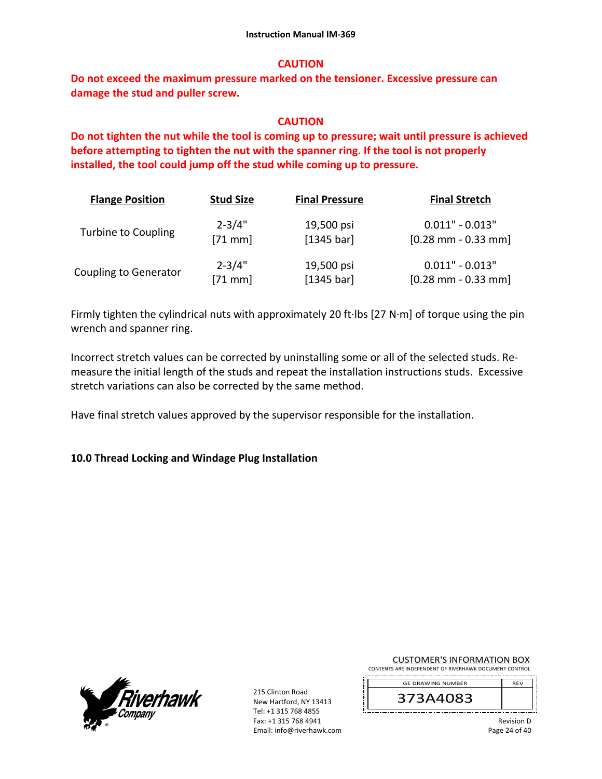#### **CAUTION**

**Do not exceed the maximum pressure marked on the tensioner. Excessive pressure can damage the stud and puller screw.** 

#### **CAUTION**

**Do not tighten the nut while the tool is coming up to pressure; wait until pressure is achieved before attempting to tighten the nut with the spanner ring. If the tool is not properly installed, the tool could jump off the stud while coming up to pressure.**

| <b>Flange Position</b>       | <b>Stud Size</b> | <b>Final Pressure</b> | <b>Final Stretch</b>                  |
|------------------------------|------------------|-----------------------|---------------------------------------|
| Turbine to Coupling          | $2 - 3/4"$       | 19,500 psi            | $0.011" - 0.013"$                     |
|                              | $[71$ mm         | [1345 bar]            | $[0.28 \text{ mm} - 0.33 \text{ mm}]$ |
| <b>Coupling to Generator</b> | $2 - 3/4"$       | 19,500 psi            | $0.011" - 0.013"$                     |
|                              | $[71$ mm]        | [1345 bar]            | $[0.28 \text{ mm} - 0.33 \text{ mm}]$ |

Firmly tighten the cylindrical nuts with approximately 20 ft∙lbs [27 N∙m] of torque using the pin wrench and spanner ring.

Incorrect stretch values can be corrected by uninstalling some or all of the selected studs. Re‐ measure the initial length of the studs and repeat the installation instructions studs. Excessive stretch variations can also be corrected by the same method.

Have final stretch values approved by the supervisor responsible for the installation.

#### **10.0 Thread Locking and Windage Plug Installation**



215 Clinton Road New Hartford, NY 13413 Tel: +1 315 768 4855 Fax: +1 315 768 4941 Email: info@riverhawk.com CUSTOMER'S INFORMATION BOX

CONTENTS ARE INDEPENDENT OF RIVERHAWK DOCUMENT CONTROL

373A4083 GE DRAWING NUMBER

> Revision D Page 24 of 40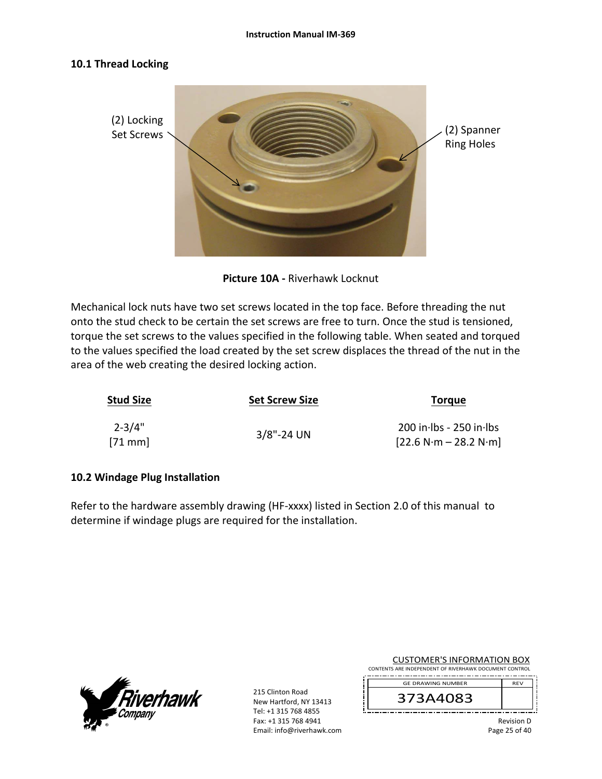# **10.1 Thread Locking**



**Picture 10A ‐** Riverhawk Locknut

Mechanical lock nuts have two set screws located in the top face. Before threading the nut onto the stud check to be certain the set screws are free to turn. Once the stud is tensioned, torque the set screws to the values specified in the following table. When seated and torqued to the values specified the load created by the set screw displaces the thread of the nut in the area of the web creating the desired locking action.

| <b>Stud Size</b>       | <b>Set Screw Size</b> | <b>Torque</b>                                        |  |
|------------------------|-----------------------|------------------------------------------------------|--|
| $2 - 3/4"$<br>$[71$ mm | $3/8$ "-24 UN         | $200$ in lbs - 250 in lbs<br>$[22.6 N·m - 28.2 N·m]$ |  |

# **10.2 Windage Plug Installation**

Refer to the hardware assembly drawing (HF-xxxx) listed in Section 2.0 of this manual to determine if windage plugs are required for the installation.



215 Clinton Road New Hartford, NY 13413 Tel: +1 315 768 4855 Fax: +1 315 768 4941 Email: info@riverhawk.com

| <b>CUSTOMER'S INFORMATION BOX</b>                           |  |  |
|-------------------------------------------------------------|--|--|
| <b>ITC ARE INIDERENIDENT OF BIVERHAMIK DOCUMENT CONTROL</b> |  |  |

CONTENTS ARE INDEPENDENT OF RIVERHAWK DOCUMENT CONTROL

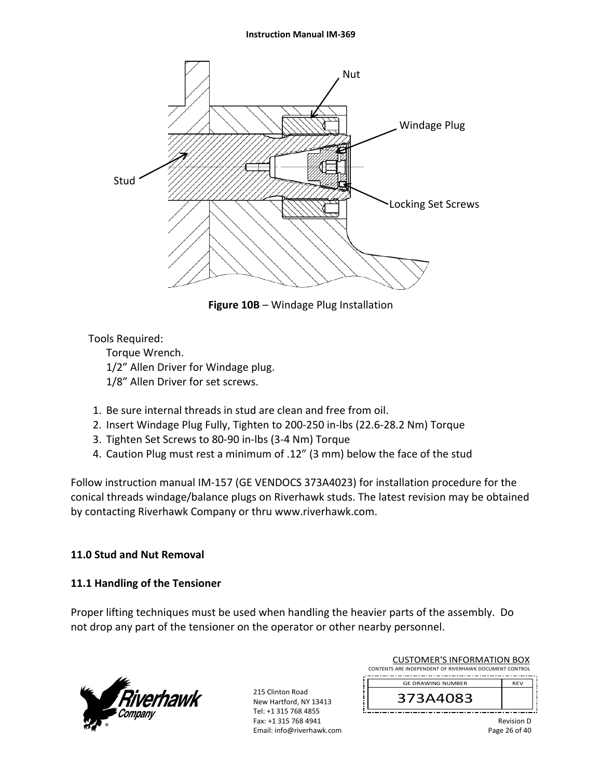#### **Instruction Manual IM‐369**



**Figure 10B** – Windage Plug Installation

# Tools Required:

 Torque Wrench. 1/2" Allen Driver for Windage plug. 1/8" Allen Driver for set screws.

- 1. Be sure internal threads in stud are clean and free from oil.
- 2. Insert Windage Plug Fully, Tighten to 200‐250 in‐lbs (22.6‐28.2 Nm) Torque
- 3. Tighten Set Screws to 80‐90 in‐lbs (3‐4 Nm) Torque
- 4. Caution Plug must rest a minimum of .12" (3 mm) below the face of the stud

Follow instruction manual IM‐157 (GE VENDOCS 373A4023) for installation procedure for the conical threads windage/balance plugs on Riverhawk studs. The latest revision may be obtained by contacting Riverhawk Company or thru www.riverhawk.com.

# **11.0 Stud and Nut Removal**

# **11.1 Handling of the Tensioner**

Proper lifting techniques must be used when handling the heavier parts of the assembly. Do not drop any part of the tensioner on the operator or other nearby personnel.



215 Clinton Road New Hartford, NY 13413 Tel: +1 315 768 4855 Fax: +1 315 768 4941 Email: info@riverhawk.com

| <b>CUSTOMER'S INFORMATION BOX</b>                      |  |  |  |
|--------------------------------------------------------|--|--|--|
| CONTENTS ARE INDEPENDENT OF RIVERHAWK DOCUMENT CONTROL |  |  |  |
| <b>RFV</b><br><b>GE DRAWING NUMBER</b>                 |  |  |  |
|                                                        |  |  |  |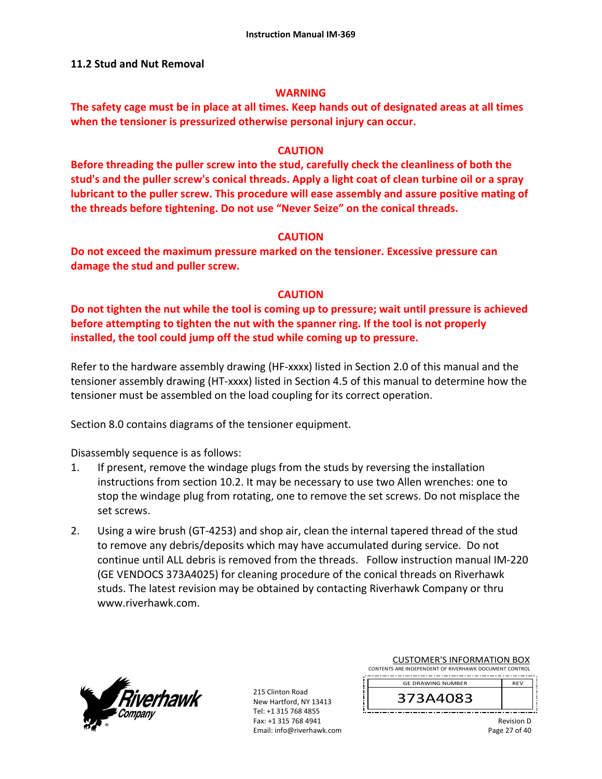#### **11.2 Stud and Nut Removal**

#### **WARNING**

**The safety cage must be in place at all times. Keep hands out of designated areas at all times when the tensioner is pressurized otherwise personal injury can occur.** 

#### **CAUTION**

**Before threading the puller screw into the stud, carefully check the cleanliness of both the stud's and the puller screw's conical threads. Apply a light coat of clean turbine oil or a spray lubricant to the puller screw. This procedure will ease assembly and assure positive mating of the threads before tightening. Do not use "Never Seize" on the conical threads.** 

# **CAUTION**

**Do not exceed the maximum pressure marked on the tensioner. Excessive pressure can damage the stud and puller screw.** 

# **CAUTION**

**Do not tighten the nut while the tool is coming up to pressure; wait until pressure is achieved before attempting to tighten the nut with the spanner ring. If the tool is not properly installed, the tool could jump off the stud while coming up to pressure.** 

Refer to the hardware assembly drawing (HF-xxxx) listed in Section 2.0 of this manual and the tensioner assembly drawing (HT‐xxxx) listed in Section 4.5 of this manual to determine how the tensioner must be assembled on the load coupling for its correct operation.

Section 8.0 contains diagrams of the tensioner equipment.

Disassembly sequence is as follows:

- 1. If present, remove the windage plugs from the studs by reversing the installation instructions from section 10.2. It may be necessary to use two Allen wrenches: one to stop the windage plug from rotating, one to remove the set screws. Do not misplace the set screws.
- 2. Using a wire brush (GT‐4253) and shop air, clean the internal tapered thread of the stud to remove any debris/deposits which may have accumulated during service. Do not continue until ALL debris is removed from the threads. Follow instruction manual IM‐220 (GE VENDOCS 373A4025) for cleaning procedure of the conical threads on Riverhawk studs. The latest revision may be obtained by contacting Riverhawk Company or thru www.riverhawk.com.



215 Clinton Road New Hartford, NY 13413 Tel: +1 315 768 4855 Fax: +1 315 768 4941 Email: info@riverhawk.com

| CUSTUIVIER STINFURIVIATION BUX                         |            |
|--------------------------------------------------------|------------|
| CONTENTS ARE INDEPENDENT OF RIVERHAWK DOCUMENT CONTROL |            |
|                                                        |            |
| <b>GE DRAWING NUMBER</b>                               | <b>RFV</b> |

CUSTOMER'S INFORMATION BOY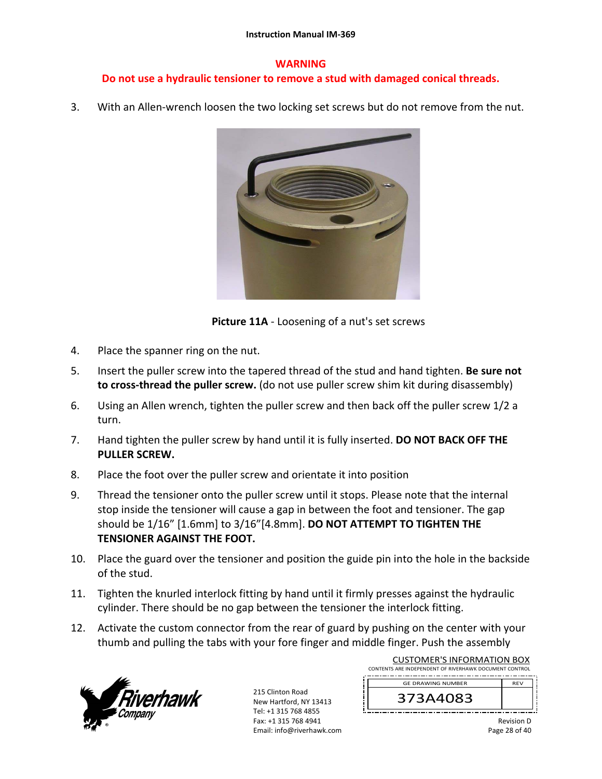#### **WARNING**

# **Do not use a hydraulic tensioner to remove a stud with damaged conical threads.**

3. With an Allen-wrench loosen the two locking set screws but do not remove from the nut.



**Picture 11A** ‐ Loosening of a nut's set screws

- 4. Place the spanner ring on the nut.
- 5. Insert the puller screw into the tapered thread of the stud and hand tighten. **Be sure not to cross‐thread the puller screw.** (do not use puller screw shim kit during disassembly)
- 6. Using an Allen wrench, tighten the puller screw and then back off the puller screw 1/2 a turn.
- 7. Hand tighten the puller screw by hand until it is fully inserted. **DO NOT BACK OFF THE PULLER SCREW.**
- 8. Place the foot over the puller screw and orientate it into position
- 9. Thread the tensioner onto the puller screw until it stops. Please note that the internal stop inside the tensioner will cause a gap in between the foot and tensioner. The gap should be 1/16" [1.6mm] to 3/16"[4.8mm]. **DO NOT ATTEMPT TO TIGHTEN THE TENSIONER AGAINST THE FOOT.**
- 10. Place the guard over the tensioner and position the guide pin into the hole in the backside of the stud.
- 11. Tighten the knurled interlock fitting by hand until it firmly presses against the hydraulic cylinder. There should be no gap between the tensioner the interlock fitting.
- 12. Activate the custom connector from the rear of guard by pushing on the center with your thumb and pulling the tabs with your fore finger and middle finger. Push the assembly



215 Clinton Road New Hartford, NY 13413 Tel: +1 315 768 4855 Fax: +1 315 768 4941 Email: info@riverhawk.com

| <b>CUSTOMER'S INFORMATION BOX</b>                      |            |  |  |  |
|--------------------------------------------------------|------------|--|--|--|
| CONTENTS ARE INDEPENDENT OF RIVERHAWK DOCUMENT CONTROL |            |  |  |  |
| <b>GE DRAWING NUMBER</b>                               | <b>RFV</b> |  |  |  |
|                                                        |            |  |  |  |

Revision D Page 28 of 40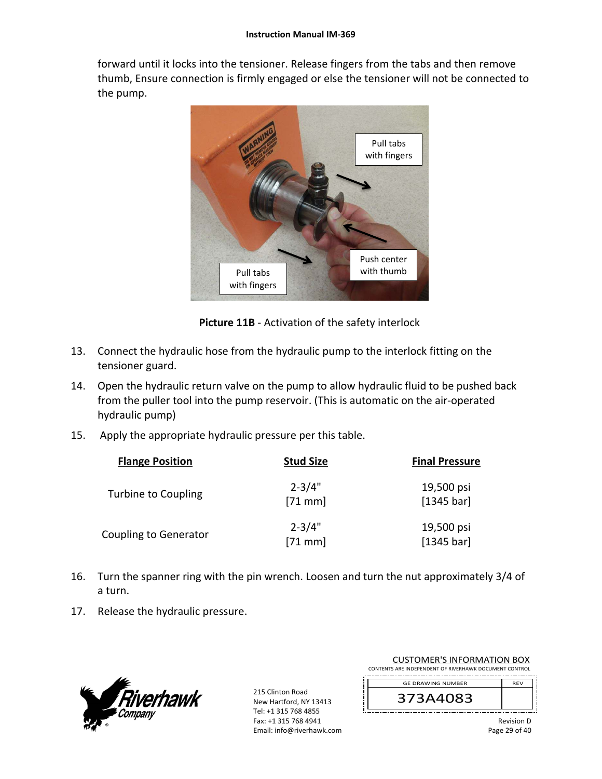forward until it locks into the tensioner. Release fingers from the tabs and then remove thumb, Ensure connection is firmly engaged or else the tensioner will not be connected to the pump.



**Picture 11B** ‐ Activation of the safety interlock

- 13. Connect the hydraulic hose from the hydraulic pump to the interlock fitting on the tensioner guard.
- 14. Open the hydraulic return valve on the pump to allow hydraulic fluid to be pushed back from the puller tool into the pump reservoir. (This is automatic on the air‐operated hydraulic pump)
- 15. Apply the appropriate hydraulic pressure per this table.

| <b>Flange Position</b>       | <b>Stud Size</b>        | <b>Final Pressure</b>    |
|------------------------------|-------------------------|--------------------------|
| <b>Turbine to Coupling</b>   | $2 - 3/4"$<br>$[71$ mm  | 19,500 psi<br>[1345 bar] |
| <b>Coupling to Generator</b> | $2 - 3/4"$<br>$[71$ mm] | 19,500 psi<br>[1345 bar] |

- 16. Turn the spanner ring with the pin wrench. Loosen and turn the nut approximately 3/4 of a turn.
- 17. Release the hydraulic pressure.



215 Clinton Road New Hartford, NY 13413 Tel: +1 315 768 4855 Fax: +1 315 768 4941 Email: info@riverhawk.com

| <b>CUSTOMER'S INFORMATION BOX</b>                      |            |  |  |  |
|--------------------------------------------------------|------------|--|--|--|
| CONTENTS ARE INDEPENDENT OF RIVERHAWK DOCUMENT CONTROL |            |  |  |  |
| <b>GE DRAWING NUMBER</b>                               | <b>RFV</b> |  |  |  |
| $3$ $\Delta$ 4 $\Gamma$                                |            |  |  |  |

Revision D Page 29 of 40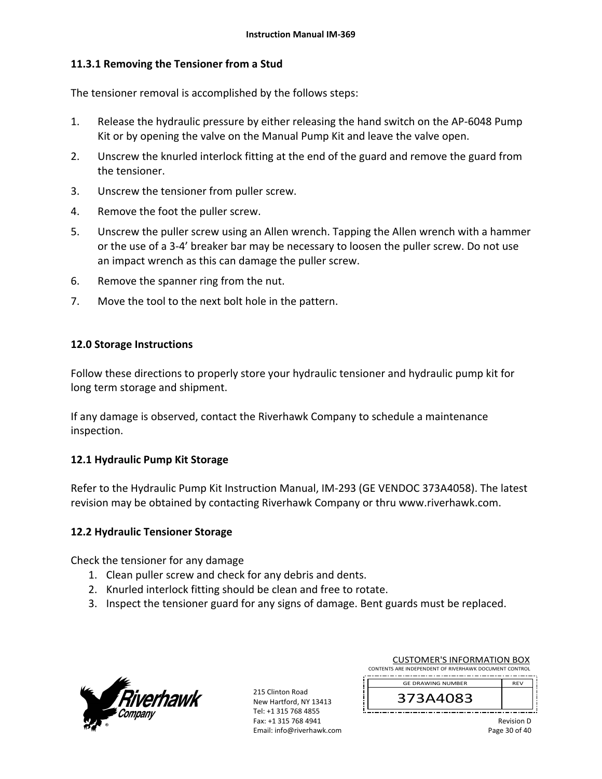# **11.3.1 Removing the Tensioner from a Stud**

The tensioner removal is accomplished by the follows steps:

- 1. Release the hydraulic pressure by either releasing the hand switch on the AP‐6048 Pump Kit or by opening the valve on the Manual Pump Kit and leave the valve open.
- 2. Unscrew the knurled interlock fitting at the end of the guard and remove the guard from the tensioner.
- 3. Unscrew the tensioner from puller screw.
- 4. Remove the foot the puller screw.
- 5. Unscrew the puller screw using an Allen wrench. Tapping the Allen wrench with a hammer or the use of a 3‐4' breaker bar may be necessary to loosen the puller screw. Do not use an impact wrench as this can damage the puller screw.
- 6. Remove the spanner ring from the nut.
- 7. Move the tool to the next bolt hole in the pattern.

# **12.0 Storage Instructions**

Follow these directions to properly store your hydraulic tensioner and hydraulic pump kit for long term storage and shipment.

If any damage is observed, contact the Riverhawk Company to schedule a maintenance inspection.

# **12.1 Hydraulic Pump Kit Storage**

Refer to the Hydraulic Pump Kit Instruction Manual, IM‐293 (GE VENDOC 373A4058). The latest revision may be obtained by contacting Riverhawk Company or thru www.riverhawk.com.

# **12.2 Hydraulic Tensioner Storage**

Check the tensioner for any damage

- 1. Clean puller screw and check for any debris and dents.
- 2. Knurled interlock fitting should be clean and free to rotate.
- 3. Inspect the tensioner guard for any signs of damage. Bent guards must be replaced.



215 Clinton Road New Hartford, NY 13413 Tel: +1 315 768 4855 Fax: +1 315 768 4941 Email: info@riverhawk.com

| <b>CUSTOMER'S INFORMATION BOX</b>                      |            |  |  |
|--------------------------------------------------------|------------|--|--|
| CONTENTS ARE INDEPENDENT OF RIVERHAWK DOCUMENT CONTROL |            |  |  |
| <b>GE DRAWING NUMBER</b>                               | <b>RFV</b> |  |  |
| 373A4083                                               |            |  |  |

Revision D Page 30 of 40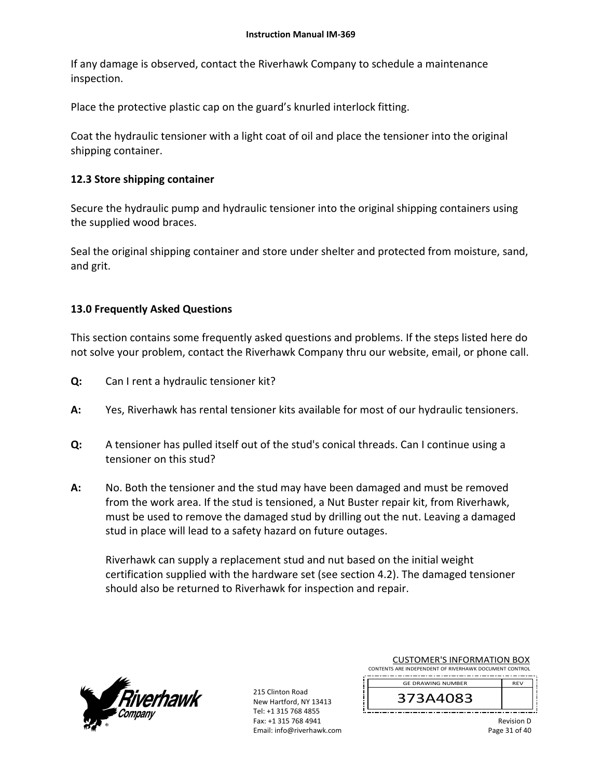If any damage is observed, contact the Riverhawk Company to schedule a maintenance inspection.

Place the protective plastic cap on the guard's knurled interlock fitting.

Coat the hydraulic tensioner with a light coat of oil and place the tensioner into the original shipping container.

# **12.3 Store shipping container**

Secure the hydraulic pump and hydraulic tensioner into the original shipping containers using the supplied wood braces.

Seal the original shipping container and store under shelter and protected from moisture, sand, and grit.

# **13.0 Frequently Asked Questions**

This section contains some frequently asked questions and problems. If the steps listed here do not solve your problem, contact the Riverhawk Company thru our website, email, or phone call.

- **Q:**  Can I rent a hydraulic tensioner kit?
- **A:**  Yes, Riverhawk has rental tensioner kits available for most of our hydraulic tensioners.
- **Q:**  A tensioner has pulled itself out of the stud's conical threads. Can I continue using a tensioner on this stud?
- **A:**  No. Both the tensioner and the stud may have been damaged and must be removed from the work area. If the stud is tensioned, a Nut Buster repair kit, from Riverhawk, must be used to remove the damaged stud by drilling out the nut. Leaving a damaged stud in place will lead to a safety hazard on future outages.

Riverhawk can supply a replacement stud and nut based on the initial weight certification supplied with the hardware set (see section 4.2). The damaged tensioner should also be returned to Riverhawk for inspection and repair.



215 Clinton Road New Hartford, NY 13413 Tel: +1 315 768 4855 Fax: +1 315 768 4941 Email: info@riverhawk.com

| COSTONIER STINI ORIVIATION DOA                         |            |  |  |  |
|--------------------------------------------------------|------------|--|--|--|
| CONTENTS ARE INDEPENDENT OF RIVERHAWK DOCUMENT CONTROL |            |  |  |  |
| <b>GE DRAWING NUMBER</b>                               | <b>RFV</b> |  |  |  |
|                                                        |            |  |  |  |

CUSTOMER'S INFORMATION ROY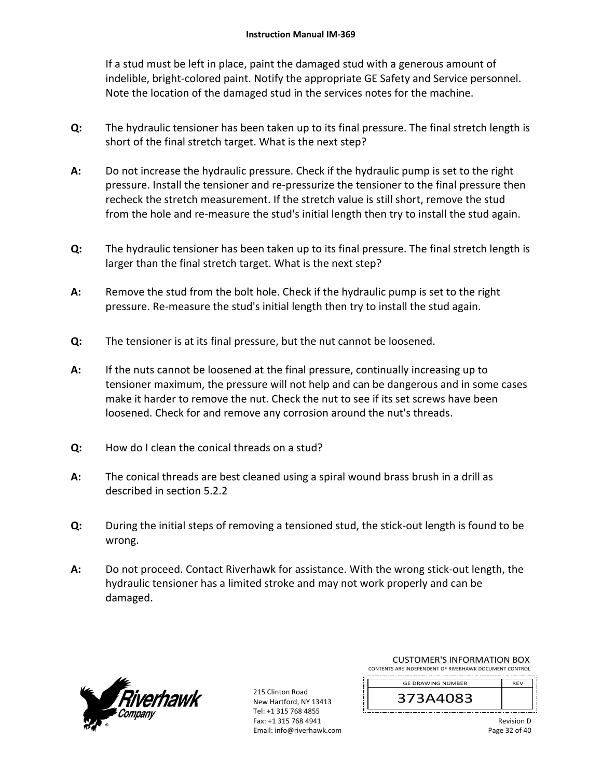If a stud must be left in place, paint the damaged stud with a generous amount of indelible, bright‐colored paint. Notify the appropriate GE Safety and Service personnel. Note the location of the damaged stud in the services notes for the machine.

- **Q:**  The hydraulic tensioner has been taken up to its final pressure. The final stretch length is short of the final stretch target. What is the next step?
- **A:**  Do not increase the hydraulic pressure. Check if the hydraulic pump is set to the right pressure. Install the tensioner and re‐pressurize the tensioner to the final pressure then recheck the stretch measurement. If the stretch value is still short, remove the stud from the hole and re-measure the stud's initial length then try to install the stud again.
- **Q:**  The hydraulic tensioner has been taken up to its final pressure. The final stretch length is larger than the final stretch target. What is the next step?
- **A:**  Remove the stud from the bolt hole. Check if the hydraulic pump is set to the right pressure. Re‐measure the stud's initial length then try to install the stud again.
- **Q:**  The tensioner is at its final pressure, but the nut cannot be loosened.
- **A:**  If the nuts cannot be loosened at the final pressure, continually increasing up to tensioner maximum, the pressure will not help and can be dangerous and in some cases make it harder to remove the nut. Check the nut to see if its set screws have been loosened. Check for and remove any corrosion around the nut's threads.
- **Q:**  How do I clean the conical threads on a stud?
- **A:**  The conical threads are best cleaned using a spiral wound brass brush in a drill as described in section 5.2.2
- **Q:**  During the initial steps of removing a tensioned stud, the stick-out length is found to be wrong.
- **A:**  Do not proceed. Contact Riverhawk for assistance. With the wrong stick-out length, the hydraulic tensioner has a limited stroke and may not work properly and can be damaged.



215 Clinton Road New Hartford, NY 13413 Tel: +1 315 768 4855 Fax: +1 315 768 4941 Email: info@riverhawk.com

| COSTOIVIER STINI ONIVIATION BOA                        |            |  |  |  |
|--------------------------------------------------------|------------|--|--|--|
| CONTENTS ARE INDEPENDENT OF RIVERHAWK DOCUMENT CONTROL |            |  |  |  |
| <b>GE DRAWING NUMBER</b>                               | <b>RFV</b> |  |  |  |
|                                                        |            |  |  |  |

CUSTOMER'S INFORMATION ROY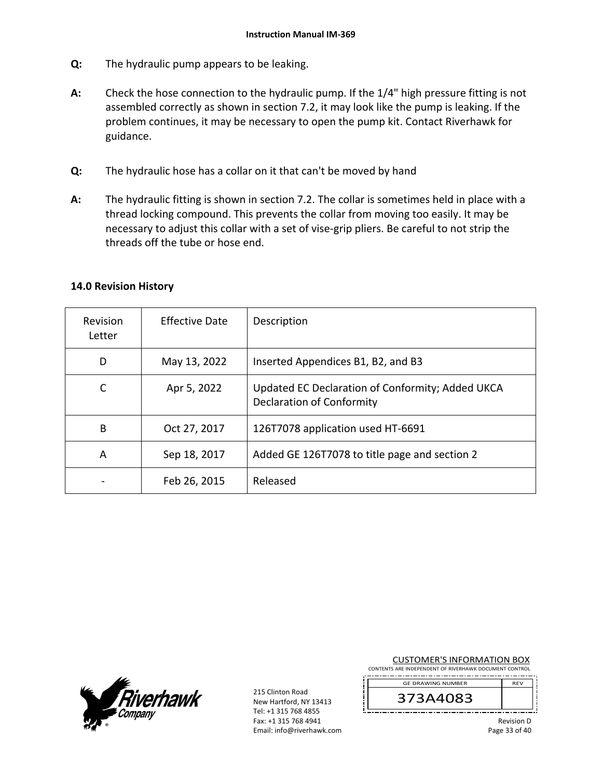- **Q:**  The hydraulic pump appears to be leaking.
- **A:**  Check the hose connection to the hydraulic pump. If the 1/4" high pressure fitting is not assembled correctly as shown in section 7.2, it may look like the pump is leaking. If the problem continues, it may be necessary to open the pump kit. Contact Riverhawk for guidance.
- **Q:**  The hydraulic hose has a collar on it that can't be moved by hand
- **A:**  The hydraulic fitting is shown in section 7.2. The collar is sometimes held in place with a thread locking compound. This prevents the collar from moving too easily. It may be necessary to adjust this collar with a set of vise‐grip pliers. Be careful to not strip the threads off the tube or hose end.

| Revision<br>Letter | Effective Date | Description                                                                          |
|--------------------|----------------|--------------------------------------------------------------------------------------|
| D                  | May 13, 2022   | Inserted Appendices B1, B2, and B3                                                   |
| C                  | Apr 5, 2022    | Updated EC Declaration of Conformity; Added UKCA<br><b>Declaration of Conformity</b> |
| B                  | Oct 27, 2017   | 126T7078 application used HT-6691                                                    |
| A                  | Sep 18, 2017   | Added GE 126T7078 to title page and section 2                                        |
|                    | Feb 26, 2015   | Released                                                                             |

# **14.0 Revision History**



215 Clinton Road New Hartford, NY 13413 Tel: +1 315 768 4855 Fax: +1 315 768 4941 Email: info@riverhawk.com

#### CUSTOMER'S INFORMATION BOX

CONTENTS ARE INDEPENDENT OF RIVERHAWK DOCUMENT CONTROL

REV 373A4083 GE DRAWING NUMBER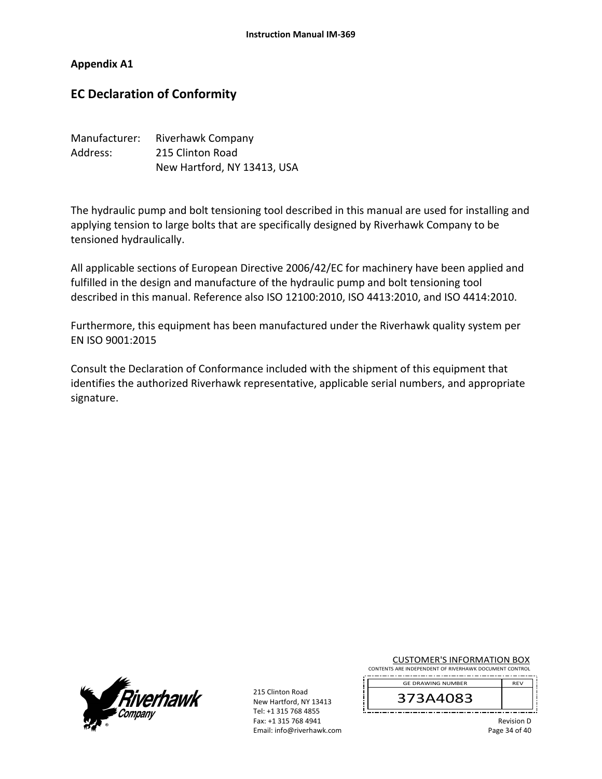#### **Appendix A1**

# **EC Declaration of Conformity**

| Manufacturer: | Riverhawk Company           |
|---------------|-----------------------------|
| Address:      | 215 Clinton Road            |
|               | New Hartford, NY 13413, USA |

The hydraulic pump and bolt tensioning tool described in this manual are used for installing and applying tension to large bolts that are specifically designed by Riverhawk Company to be tensioned hydraulically.

All applicable sections of European Directive 2006/42/EC for machinery have been applied and fulfilled in the design and manufacture of the hydraulic pump and bolt tensioning tool described in this manual. Reference also ISO 12100:2010, ISO 4413:2010, and ISO 4414:2010.

Furthermore, this equipment has been manufactured under the Riverhawk quality system per EN ISO 9001:2015

Consult the Declaration of Conformance included with the shipment of this equipment that identifies the authorized Riverhawk representative, applicable serial numbers, and appropriate signature.



215 Clinton Road New Hartford, NY 13413 Tel: +1 315 768 4855 Fax: +1 315 768 4941 Email: info@riverhawk.com

CUSTOMER'S INFORMATION BOX CONTENTS ARE INDEPENDENT OF RIVERHAWK DOCUMENT CONTROL

373A4083 GE DRAWING NUMBER

> Revision D Page 34 of 40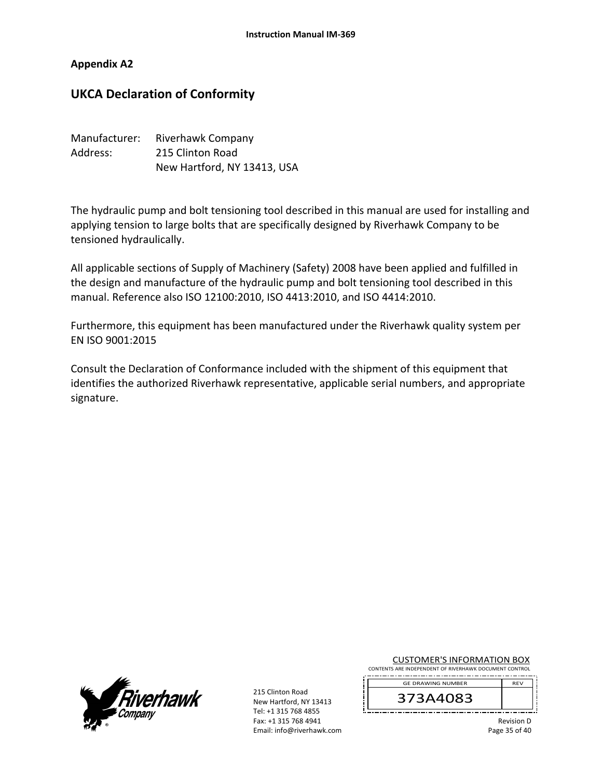#### **Appendix A2**

# **UKCA Declaration of Conformity**

| Manufacturer: | <b>Riverhawk Company</b>    |
|---------------|-----------------------------|
| Address:      | 215 Clinton Road            |
|               | New Hartford, NY 13413, USA |

The hydraulic pump and bolt tensioning tool described in this manual are used for installing and applying tension to large bolts that are specifically designed by Riverhawk Company to be tensioned hydraulically.

All applicable sections of Supply of Machinery (Safety) 2008 have been applied and fulfilled in the design and manufacture of the hydraulic pump and bolt tensioning tool described in this manual. Reference also ISO 12100:2010, ISO 4413:2010, and ISO 4414:2010.

Furthermore, this equipment has been manufactured under the Riverhawk quality system per EN ISO 9001:2015

Consult the Declaration of Conformance included with the shipment of this equipment that identifies the authorized Riverhawk representative, applicable serial numbers, and appropriate signature.



215 Clinton Road New Hartford, NY 13413 Tel: +1 315 768 4855 Fax: +1 315 768 4941 Email: info@riverhawk.com

CUSTOMER'S INFORMATION BOX CONTENTS ARE INDEPENDENT OF RIVERHAWK DOCUMENT CONTROL

373A4083 GE DRAWING NUMBER

> Revision D Page 35 of 40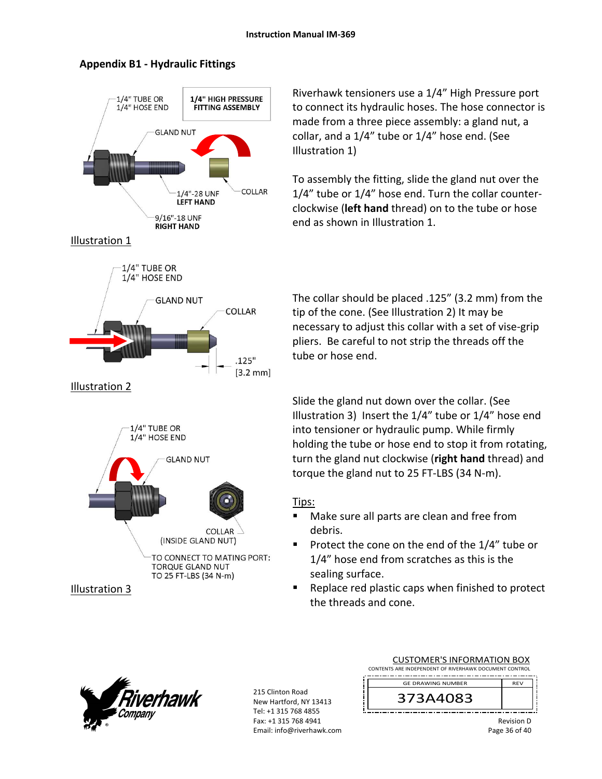

# **Appendix B1 ‐ Hydraulic Fittings**

Riverhawk tensioners use a 1/4" High Pressure port to connect its hydraulic hoses. The hose connector is made from a three piece assembly: a gland nut, a collar, and a 1/4" tube or 1/4" hose end. (See Illustration 1)

To assembly the fitting, slide the gland nut over the 1/4" tube or 1/4" hose end. Turn the collar counter‐ clockwise (**left hand** thread) on to the tube or hose end as shown in Illustration 1.

The collar should be placed .125" (3.2 mm) from the tip of the cone. (See Illustration 2) It may be necessary to adjust this collar with a set of vise‐grip pliers. Be careful to not strip the threads off the tube or hose end.

Slide the gland nut down over the collar. (See Illustration 3) Insert the 1/4" tube or 1/4" hose end into tensioner or hydraulic pump. While firmly holding the tube or hose end to stop it from rotating, turn the gland nut clockwise (**right hand** thread) and torque the gland nut to 25 FT‐LBS (34 N‐m).

# Tips:

- Make sure all parts are clean and free from debris.
- Protect the cone on the end of the  $1/4$ " tube or 1/4" hose end from scratches as this is the sealing surface.
- Replace red plastic caps when finished to protect the threads and cone.



215 Clinton Road New Hartford, NY 13413 Tel: +1 315 768 4855 Fax: +1 315 768 4941 Email: info@riverhawk.com

| CONTENTS ARE INDEPENDENT OF RIVERHAWK DOCUMENT CONTROL |  |  |  |  |
|--------------------------------------------------------|--|--|--|--|
| <b>GE DRAWING NUMBER</b><br><b>RFV</b>                 |  |  |  |  |
| 373A4083                                               |  |  |  |  |

CUSTOMER'S INFORMATION BOX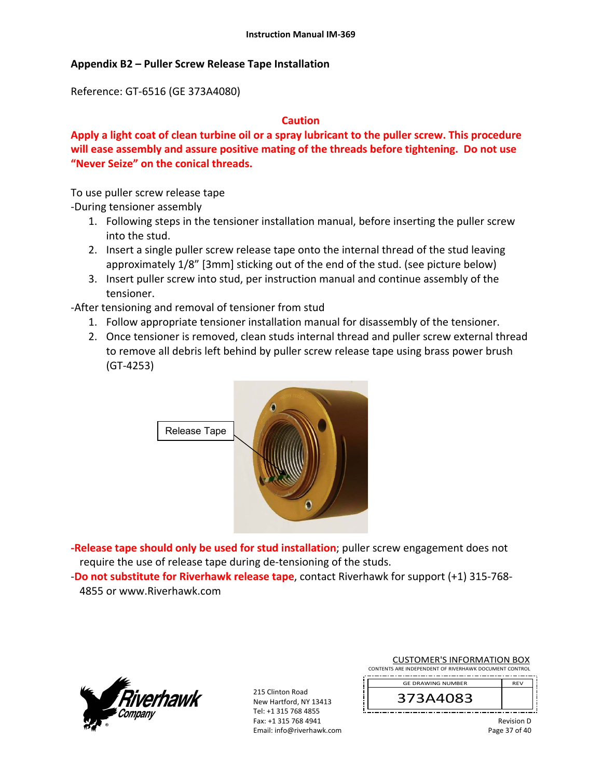#### **Appendix B2 – Puller Screw Release Tape Installation**

Reference: GT‐6516 (GE 373A4080)

#### **Caution**

**Apply a light coat of clean turbine oil or a spray lubricant to the puller screw. This procedure will ease assembly and assure positive mating of the threads before tightening. Do not use "Never Seize" on the conical threads.** 

To use puller screw release tape

‐During tensioner assembly

- 1. Following steps in the tensioner installation manual, before inserting the puller screw into the stud.
- 2. Insert a single puller screw release tape onto the internal thread of the stud leaving approximately 1/8" [3mm] sticking out of the end of the stud. (see picture below)
- 3. Insert puller screw into stud, per instruction manual and continue assembly of the tensioner.

‐After tensioning and removal of tensioner from stud

- 1. Follow appropriate tensioner installation manual for disassembly of the tensioner.
- 2. Once tensioner is removed, clean studs internal thread and puller screw external thread to remove all debris left behind by puller screw release tape using brass power brush (GT‐4253)



**‐Release tape should only be used for stud installation**; puller screw engagement does not require the use of release tape during de‐tensioning of the studs.

‐**Do not substitute for Riverhawk release tape**, contact Riverhawk for support (+1) 315‐768‐ 4855 or www.Riverhawk.com



215 Clinton Road New Hartford, NY 13413 Tel: +1 315 768 4855 Fax: +1 315 768 4941 Email: info@riverhawk.com

|                                                        |  | <b>CUSTOMER'S INFORMATION BOX</b> |  |  |  |
|--------------------------------------------------------|--|-----------------------------------|--|--|--|
| CONTENTS ARE INDEPENDENT OF RIVERHAWK DOCUMENT CONTROL |  |                                   |  |  |  |

REV 373A4083 GE DRAWING NUMBER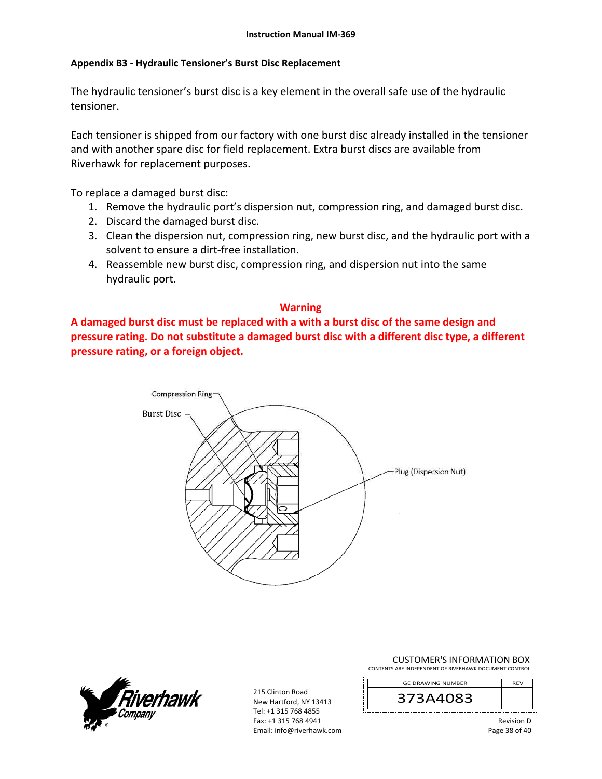#### **Appendix B3 ‐ Hydraulic Tensioner's Burst Disc Replacement**

The hydraulic tensioner's burst disc is a key element in the overall safe use of the hydraulic tensioner.

Each tensioner is shipped from our factory with one burst disc already installed in the tensioner and with another spare disc for field replacement. Extra burst discs are available from Riverhawk for replacement purposes.

To replace a damaged burst disc:

- 1. Remove the hydraulic port's dispersion nut, compression ring, and damaged burst disc.
- 2. Discard the damaged burst disc.
- 3. Clean the dispersion nut, compression ring, new burst disc, and the hydraulic port with a solvent to ensure a dirt‐free installation.
- 4. Reassemble new burst disc, compression ring, and dispersion nut into the same hydraulic port.

# **Warning**

**A damaged burst disc must be replaced with a with a burst disc of the same design and pressure rating. Do not substitute a damaged burst disc with a different disc type, a different pressure rating, or a foreign object.**





215 Clinton Road New Hartford, NY 13413 Tel: +1 315 768 4855 Fax: +1 315 768 4941 Email: info@riverhawk.com

|                                                        |  |  | <b>CUSTOMER'S INFORMATION BOX</b> |  |
|--------------------------------------------------------|--|--|-----------------------------------|--|
| CONTENTS ARE INDEPENDENT OF RIVERHAWK DOCUMENT CONTROL |  |  |                                   |  |

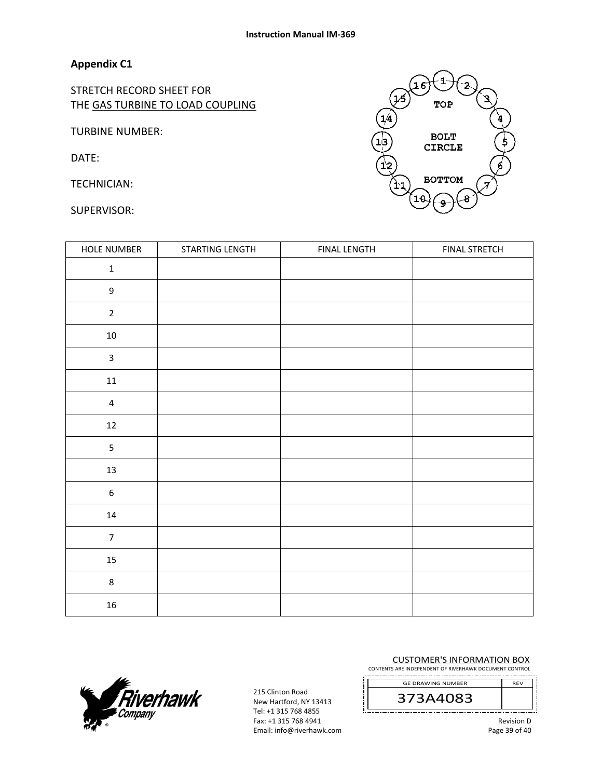# **Appendix C1**

STRETCH RECORD SHEET FOR THE GAS TURBINE TO LOAD COUPLING

TURBINE NUMBER:

DATE:

TECHNICIAN:

SUPERVISOR:

| HOLE NUMBER             | STARTING LENGTH | <b>FINAL LENGTH</b> | <b>FINAL STRETCH</b> |
|-------------------------|-----------------|---------------------|----------------------|
| $\mathbf 1$             |                 |                     |                      |
| $\mathsf g$             |                 |                     |                      |
| $\overline{2}$          |                 |                     |                      |
| $10\,$                  |                 |                     |                      |
| $\mathbf{3}$            |                 |                     |                      |
| $11\,$                  |                 |                     |                      |
| $\overline{\mathbf{4}}$ |                 |                     |                      |
| $12\,$                  |                 |                     |                      |
| 5                       |                 |                     |                      |
| 13                      |                 |                     |                      |
| $\boldsymbol{6}$        |                 |                     |                      |
| 14                      |                 |                     |                      |
| $\overline{7}$          |                 |                     |                      |
| $15\,$                  |                 |                     |                      |
| $\,8\,$                 |                 |                     |                      |
| 16                      |                 |                     |                      |



215 Clinton Road New Hartford, NY 13413 Tel: +1 315 768 4855 Fax: +1 315 768 4941 Email: info@riverhawk.com CUSTOMER'S INFORMATION BOX

CONTENTS ARE INDEPENDENT OF RIVERHAWK DOCUMENT CONTROL

373A4083 GE DRAWING NUMBER

1 16 TOP  $\begin{pmatrix} 1/4 \\ 1 \end{pmatrix}$ **BOLT CIRCLE BOTTOM** 9

> Revision D Page 39 of 40